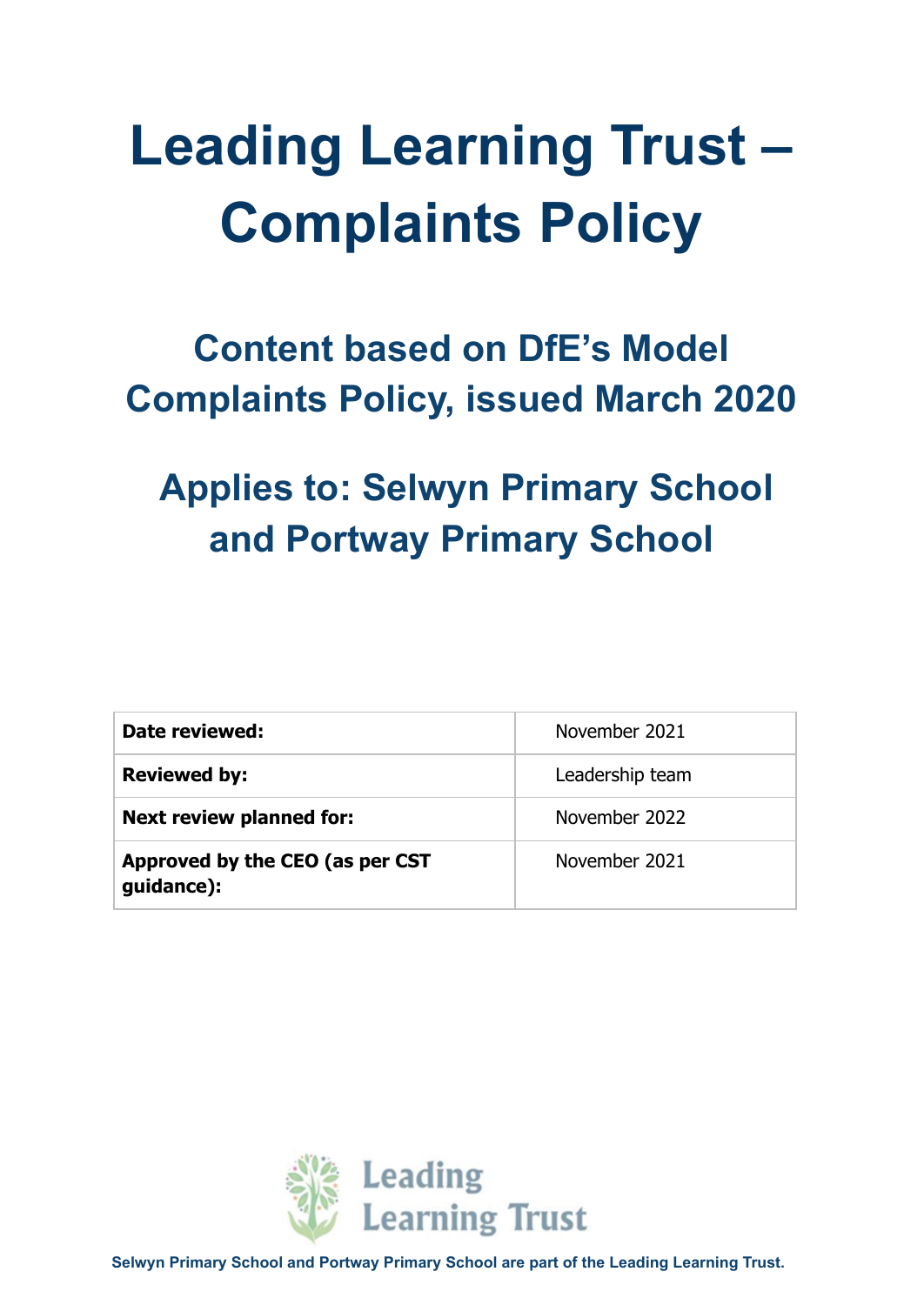# **Leading Learning Trust – Complaints Policy**

# **Content based on DfE's Model Complaints Policy, issued March 2020**

# **Applies to: Selwyn Primary School and Portway Primary School**

| Date reviewed:                                | November 2021   |
|-----------------------------------------------|-----------------|
| <b>Reviewed by:</b>                           | Leadership team |
| <b>Next review planned for:</b>               | November 2022   |
| Approved by the CEO (as per CST<br>guidance): | November 2021   |



**Selwyn Primary School and Portway Primary School are part of the Leading Learning Trust.**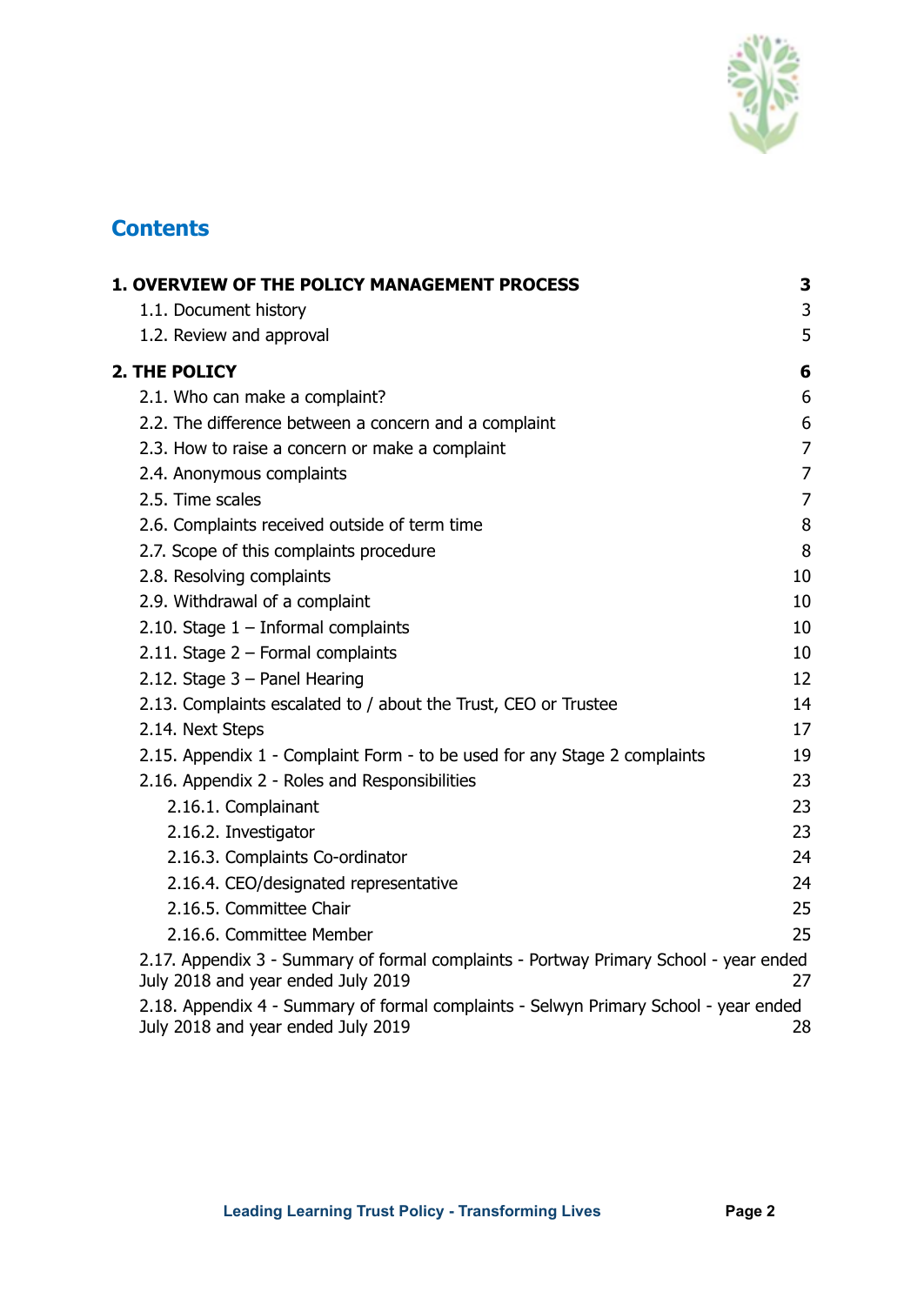

# **Contents**

| 1. OVERVIEW OF THE POLICY MANAGEMENT PROCESS                                                                                | 3              |
|-----------------------------------------------------------------------------------------------------------------------------|----------------|
| 1.1. Document history                                                                                                       | 3              |
| 1.2. Review and approval                                                                                                    | 5              |
| <b>2. THE POLICY</b>                                                                                                        | 6              |
| 2.1. Who can make a complaint?                                                                                              | 6              |
| 2.2. The difference between a concern and a complaint                                                                       | 6              |
| 2.3. How to raise a concern or make a complaint                                                                             | $\overline{7}$ |
| 2.4. Anonymous complaints                                                                                                   | 7              |
| 2.5. Time scales                                                                                                            | $\overline{7}$ |
| 2.6. Complaints received outside of term time                                                                               | 8              |
| 2.7. Scope of this complaints procedure                                                                                     | 8              |
| 2.8. Resolving complaints                                                                                                   | 10             |
| 2.9. Withdrawal of a complaint                                                                                              | 10             |
| 2.10. Stage $1$ – Informal complaints                                                                                       | 10             |
| 2.11. Stage $2$ – Formal complaints                                                                                         | 10             |
| 2.12. Stage $3$ – Panel Hearing                                                                                             | 12             |
| 2.13. Complaints escalated to / about the Trust, CEO or Trustee                                                             | 14             |
| 2.14. Next Steps                                                                                                            | 17             |
| 2.15. Appendix 1 - Complaint Form - to be used for any Stage 2 complaints                                                   | 19             |
| 2.16. Appendix 2 - Roles and Responsibilities                                                                               | 23             |
| 2.16.1. Complainant                                                                                                         | 23             |
| 2.16.2. Investigator                                                                                                        | 23             |
| 2.16.3. Complaints Co-ordinator                                                                                             | 24             |
| 2.16.4. CEO/designated representative                                                                                       | 24             |
| 2.16.5. Committee Chair                                                                                                     | 25             |
| 2.16.6. Committee Member                                                                                                    | 25             |
| 2.17. Appendix 3 - Summary of formal complaints - Portway Primary School - year ended<br>July 2018 and year ended July 2019 | 27             |
| 2.18. Appendix 4 - Summary of formal complaints - Selwyn Primary School - year ended<br>July 2018 and year ended July 2019  | 28             |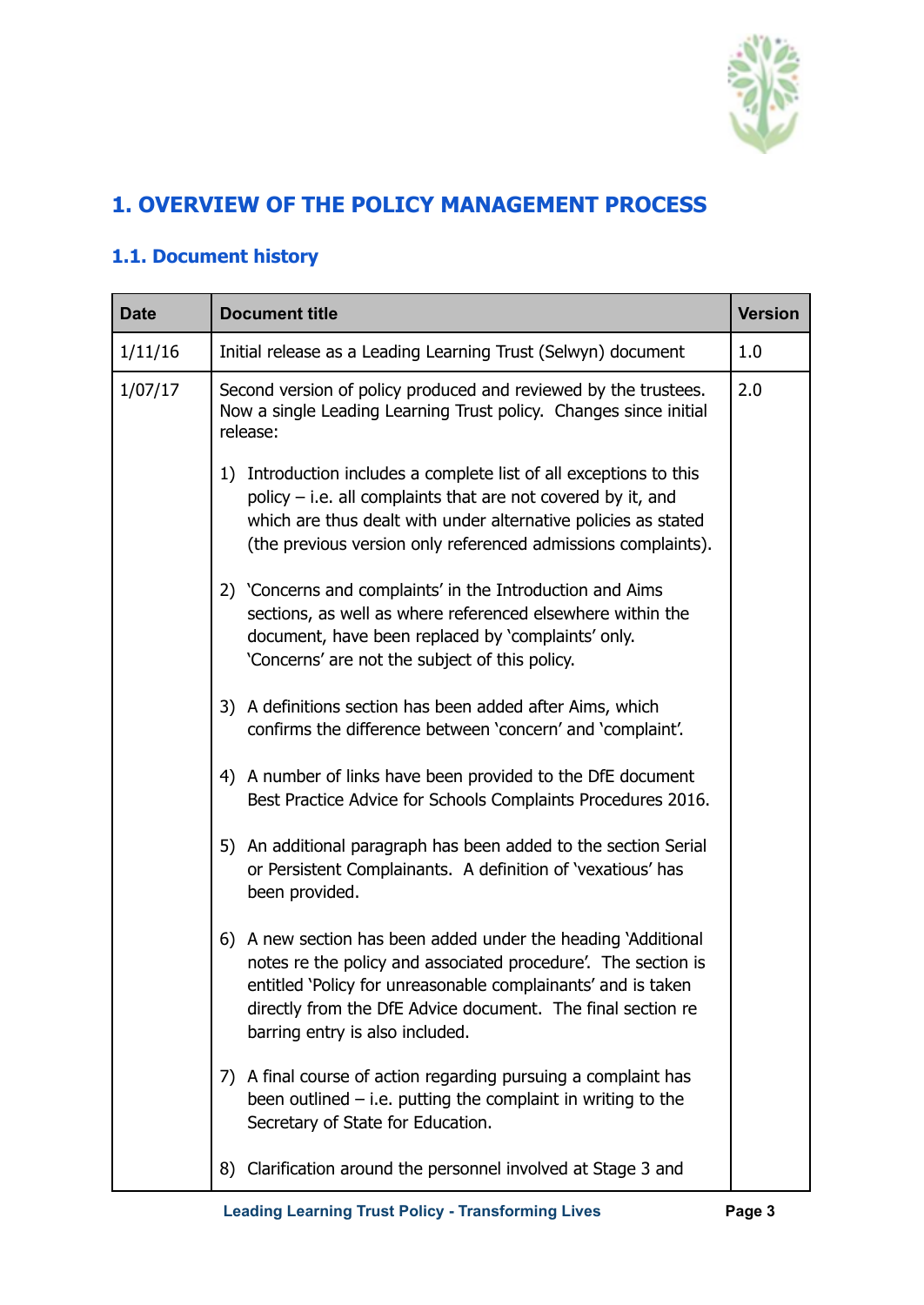

# <span id="page-2-0"></span>**1. OVERVIEW OF THE POLICY MANAGEMENT PROCESS**

## **1.1. Document history**

| <b>Date</b> | <b>Document title</b>                                                                                                                                                                                                                                                                            |  |  |
|-------------|--------------------------------------------------------------------------------------------------------------------------------------------------------------------------------------------------------------------------------------------------------------------------------------------------|--|--|
| 1/11/16     | Initial release as a Leading Learning Trust (Selwyn) document                                                                                                                                                                                                                                    |  |  |
| 1/07/17     | 2.0<br>Second version of policy produced and reviewed by the trustees.<br>Now a single Leading Learning Trust policy. Changes since initial<br>release:                                                                                                                                          |  |  |
|             | 1) Introduction includes a complete list of all exceptions to this<br>policy $-$ i.e. all complaints that are not covered by it, and<br>which are thus dealt with under alternative policies as stated<br>(the previous version only referenced admissions complaints).                          |  |  |
|             | 2) 'Concerns and complaints' in the Introduction and Aims<br>sections, as well as where referenced elsewhere within the<br>document, have been replaced by 'complaints' only.<br>'Concerns' are not the subject of this policy.                                                                  |  |  |
|             | 3) A definitions section has been added after Aims, which<br>confirms the difference between 'concern' and 'complaint'.                                                                                                                                                                          |  |  |
|             | 4) A number of links have been provided to the DfE document<br>Best Practice Advice for Schools Complaints Procedures 2016.                                                                                                                                                                      |  |  |
|             | 5) An additional paragraph has been added to the section Serial<br>or Persistent Complainants. A definition of 'vexatious' has<br>been provided.                                                                                                                                                 |  |  |
|             | 6) A new section has been added under the heading `Additional<br>notes re the policy and associated procedure'. The section is<br>entitled 'Policy for unreasonable complainants' and is taken<br>directly from the DfE Advice document. The final section re<br>barring entry is also included. |  |  |
|             | 7) A final course of action regarding pursuing a complaint has<br>been outlined $-$ i.e. putting the complaint in writing to the<br>Secretary of State for Education.                                                                                                                            |  |  |
|             | 8) Clarification around the personnel involved at Stage 3 and                                                                                                                                                                                                                                    |  |  |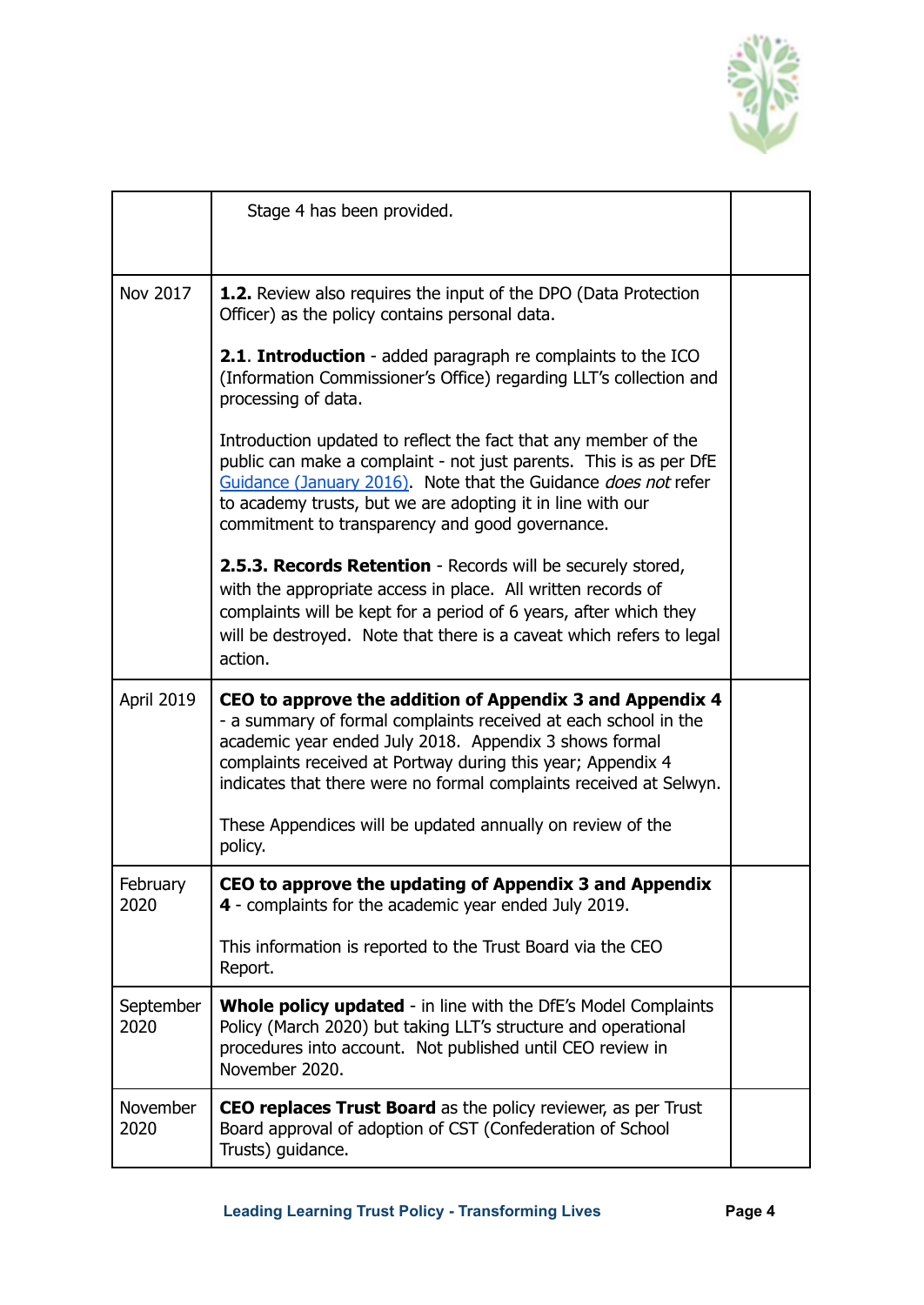

|                   | Stage 4 has been provided.                                                                                                                                                                                                                                                                                                                                                                                                                                                                                                                                                                                                                                                                                                                                                                                                                                                                                             |  |
|-------------------|------------------------------------------------------------------------------------------------------------------------------------------------------------------------------------------------------------------------------------------------------------------------------------------------------------------------------------------------------------------------------------------------------------------------------------------------------------------------------------------------------------------------------------------------------------------------------------------------------------------------------------------------------------------------------------------------------------------------------------------------------------------------------------------------------------------------------------------------------------------------------------------------------------------------|--|
| Nov 2017          | <b>1.2.</b> Review also requires the input of the DPO (Data Protection<br>Officer) as the policy contains personal data.<br>2.1. Introduction - added paragraph re complaints to the ICO<br>(Information Commissioner's Office) regarding LLT's collection and<br>processing of data.<br>Introduction updated to reflect the fact that any member of the<br>public can make a complaint - not just parents. This is as per DfE<br>Guidance (January 2016). Note that the Guidance <i>does not</i> refer<br>to academy trusts, but we are adopting it in line with our<br>commitment to transparency and good governance.<br><b>2.5.3. Records Retention</b> - Records will be securely stored,<br>with the appropriate access in place. All written records of<br>complaints will be kept for a period of 6 years, after which they<br>will be destroyed. Note that there is a caveat which refers to legal<br>action. |  |
| April 2019        | CEO to approve the addition of Appendix 3 and Appendix 4<br>- a summary of formal complaints received at each school in the<br>academic year ended July 2018. Appendix 3 shows formal<br>complaints received at Portway during this year; Appendix 4<br>indicates that there were no formal complaints received at Selwyn.<br>These Appendices will be updated annually on review of the<br>policy.                                                                                                                                                                                                                                                                                                                                                                                                                                                                                                                    |  |
| February<br>2020  | CEO to approve the updating of Appendix 3 and Appendix<br>4 - complaints for the academic year ended July 2019.<br>This information is reported to the Trust Board via the CEO<br>Report.                                                                                                                                                                                                                                                                                                                                                                                                                                                                                                                                                                                                                                                                                                                              |  |
| September<br>2020 | <b>Whole policy updated</b> - in line with the DfE's Model Complaints<br>Policy (March 2020) but taking LLT's structure and operational<br>procedures into account. Not published until CEO review in<br>November 2020.                                                                                                                                                                                                                                                                                                                                                                                                                                                                                                                                                                                                                                                                                                |  |
| November<br>2020  | <b>CEO replaces Trust Board</b> as the policy reviewer, as per Trust<br>Board approval of adoption of CST (Confederation of School<br>Trusts) guidance.                                                                                                                                                                                                                                                                                                                                                                                                                                                                                                                                                                                                                                                                                                                                                                |  |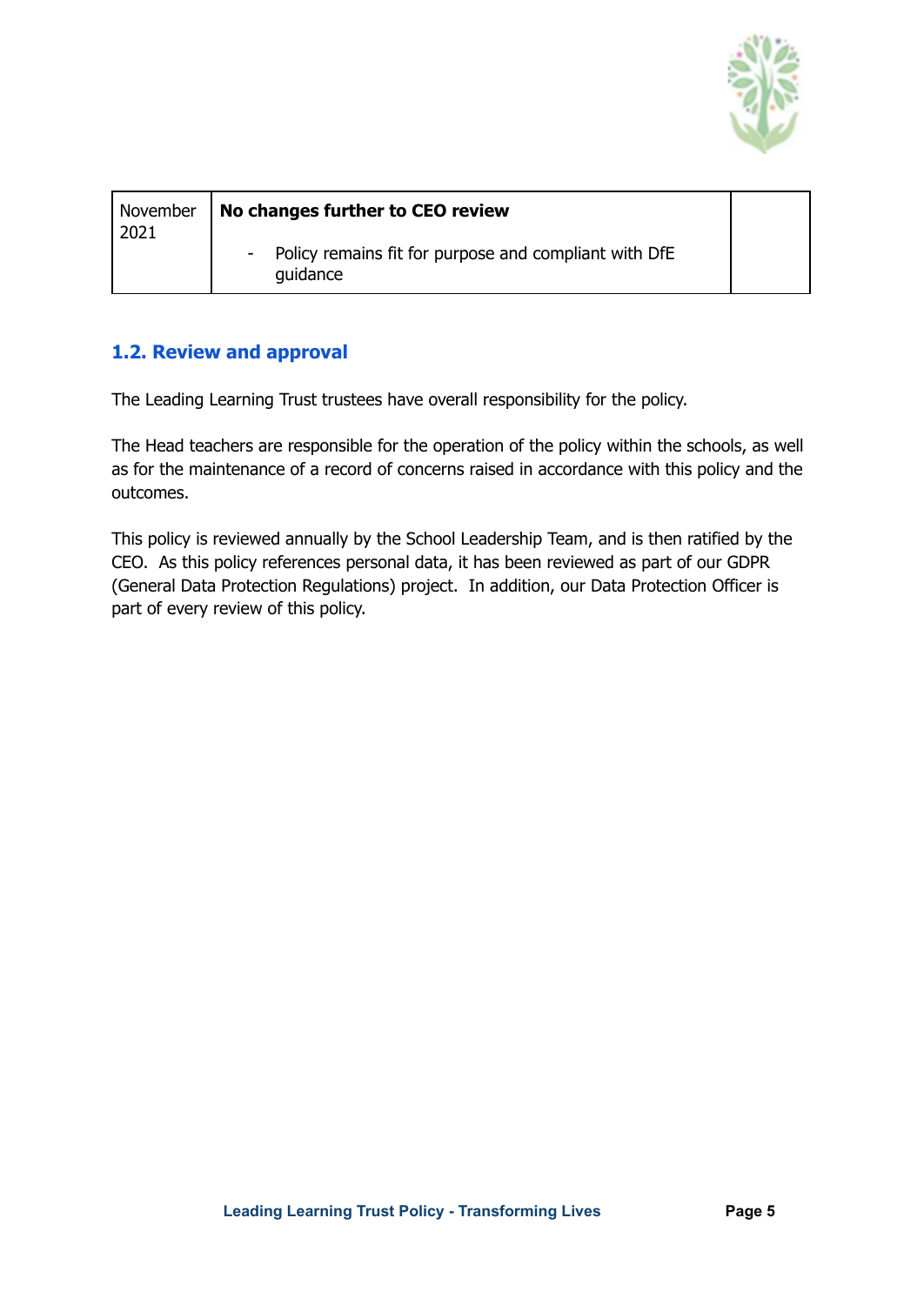

| November<br>2021 | No changes further to CEO review                                  |  |
|------------------|-------------------------------------------------------------------|--|
|                  | Policy remains fit for purpose and compliant with DfE<br>quidance |  |

#### <span id="page-4-0"></span>**1.2. Review and approval**

The Leading Learning Trust trustees have overall responsibility for the policy.

The Head teachers are responsible for the operation of the policy within the schools, as well as for the maintenance of a record of concerns raised in accordance with this policy and the outcomes.

This policy is reviewed annually by the School Leadership Team, and is then ratified by the CEO. As this policy references personal data, it has been reviewed as part of our GDPR (General Data Protection Regulations) project. In addition, our Data Protection Officer is part of every review of this policy.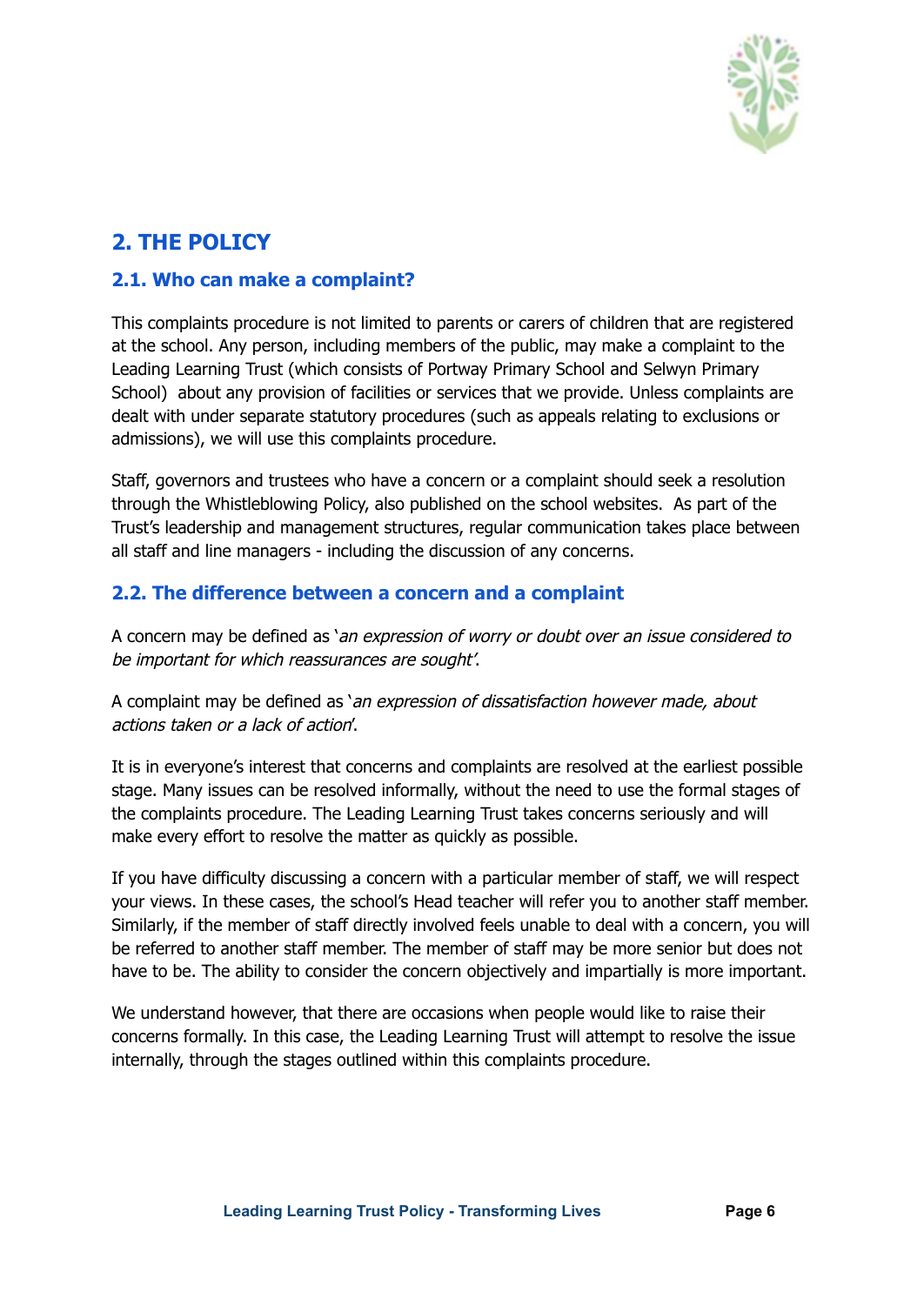

# <span id="page-5-0"></span>**2. THE POLICY**

#### <span id="page-5-1"></span>**2.1. Who can make a complaint?**

This complaints procedure is not limited to parents or carers of children that are registered at the school. Any person, including members of the public, may make a complaint to the Leading Learning Trust (which consists of Portway Primary School and Selwyn Primary School) about any provision of facilities or services that we provide. Unless complaints are dealt with under separate statutory procedures (such as appeals relating to exclusions or admissions), we will use this complaints procedure.

Staff, governors and trustees who have a concern or a complaint should seek a resolution through the Whistleblowing Policy, also published on the school websites. As part of the Trust's leadership and management structures, regular communication takes place between all staff and line managers - including the discussion of any concerns.

#### <span id="page-5-2"></span>**2.2. The difference between a concern and a complaint**

A concern may be defined as 'an expression of worry or doubt over an issue considered to be important for which reassurances are sought'.

A complaint may be defined as 'an expression of dissatisfaction however made, about actions taken or <sup>a</sup> lack of action'.

It is in everyone's interest that concerns and complaints are resolved at the earliest possible stage. Many issues can be resolved informally, without the need to use the formal stages of the complaints procedure. The Leading Learning Trust takes concerns seriously and will make every effort to resolve the matter as quickly as possible.

If you have difficulty discussing a concern with a particular member of staff, we will respect your views. In these cases, the school's Head teacher will refer you to another staff member. Similarly, if the member of staff directly involved feels unable to deal with a concern, you will be referred to another staff member. The member of staff may be more senior but does not have to be. The ability to consider the concern objectively and impartially is more important.

We understand however, that there are occasions when people would like to raise their concerns formally. In this case, the Leading Learning Trust will attempt to resolve the issue internally, through the stages outlined within this complaints procedure.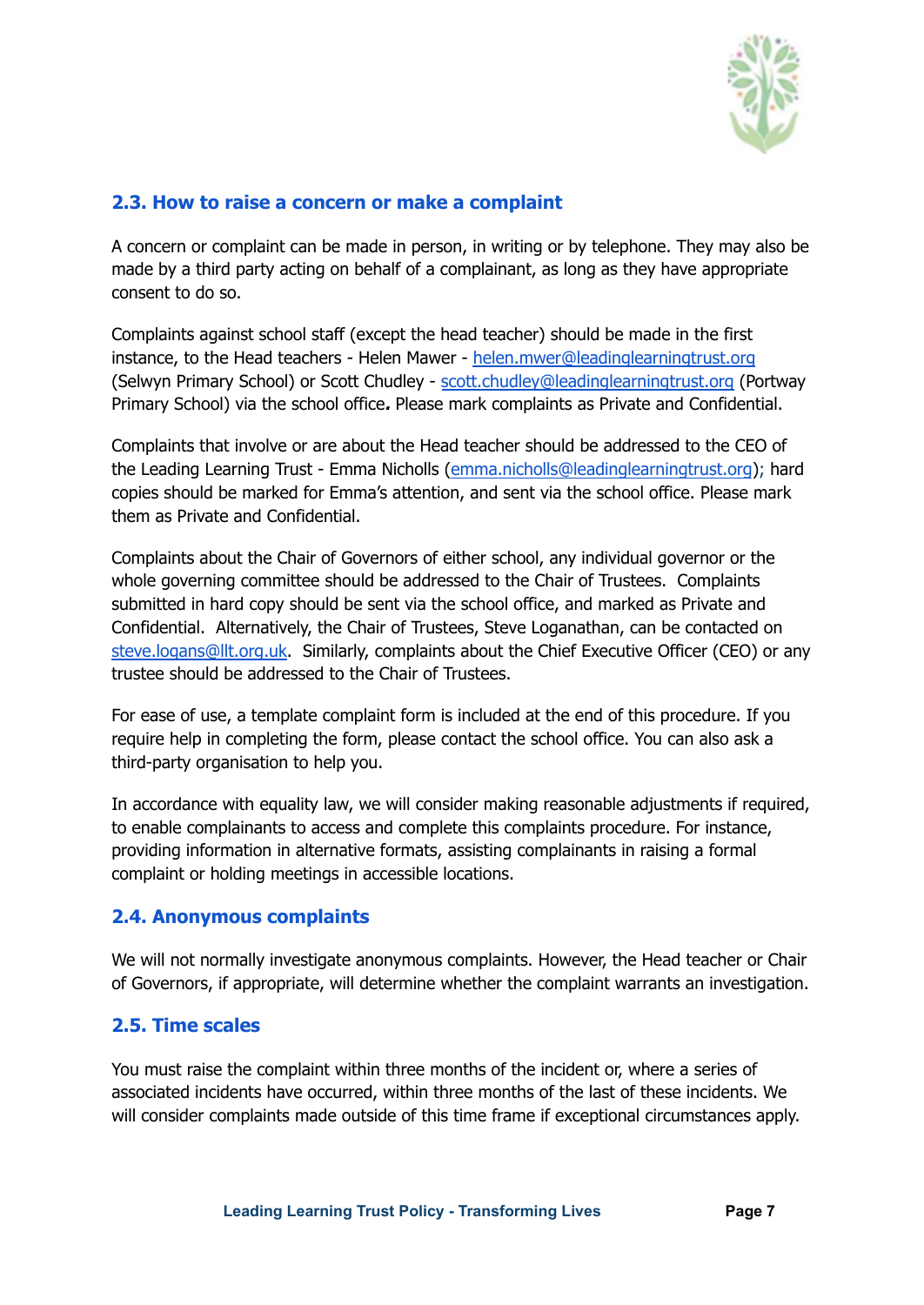

#### <span id="page-6-0"></span>**2.3. How to raise a concern or make a complaint**

A concern or complaint can be made in person, in writing or by telephone. They may also be made by a third party acting on behalf of a complainant, as long as they have appropriate consent to do so.

Complaints against school staff (except the head teacher) should be made in the first instance, to the Head teachers - Helen Mawer - [helen.mwer@leadinglearningtrust.org](mailto:helen.mwer@leadinglearningtrust.org) (Selwyn Primary School) or Scott Chudley - [scott.chudley@leadinglearningtrust.org](mailto:scott.chudley@leadinglearningtrust.org) (Portway Primary School) via the school office**.** Please mark complaints as Private and Confidential.

Complaints that involve or are about the Head teacher should be addressed to the CEO of the Leading Learning Trust - Emma Nicholls ([emma.nicholls@leadinglearningtrust.org](mailto:emma.nicholls@leadinglearningtrust.org)); hard copies should be marked for Emma's attention, and sent via the school office. Please mark them as Private and Confidential.

Complaints about the Chair of Governors of either school, any individual governor or the whole governing committee should be addressed to the Chair of Trustees. Complaints submitted in hard copy should be sent via the school office, and marked as Private and Confidential. Alternatively, the Chair of Trustees, Steve Loganathan, can be contacted on [steve.logans@llt.org.uk](mailto:steve.logans@llt.org.uk). Similarly, complaints about the Chief Executive Officer (CEO) or any trustee should be addressed to the Chair of Trustees.

For ease of use, a template complaint form is included at the end of this procedure. If you require help in completing the form, please contact the school office. You can also ask a third-party organisation to help you.

In accordance with equality law, we will consider making reasonable adjustments if required, to enable complainants to access and complete this complaints procedure. For instance, providing information in alternative formats, assisting complainants in raising a formal complaint or holding meetings in accessible locations.

#### <span id="page-6-1"></span>**2.4. Anonymous complaints**

We will not normally investigate anonymous complaints. However, the Head teacher or Chair of Governors, if appropriate, will determine whether the complaint warrants an investigation.

#### <span id="page-6-2"></span>**2.5. Time scales**

You must raise the complaint within three months of the incident or, where a series of associated incidents have occurred, within three months of the last of these incidents. We will consider complaints made outside of this time frame if exceptional circumstances apply.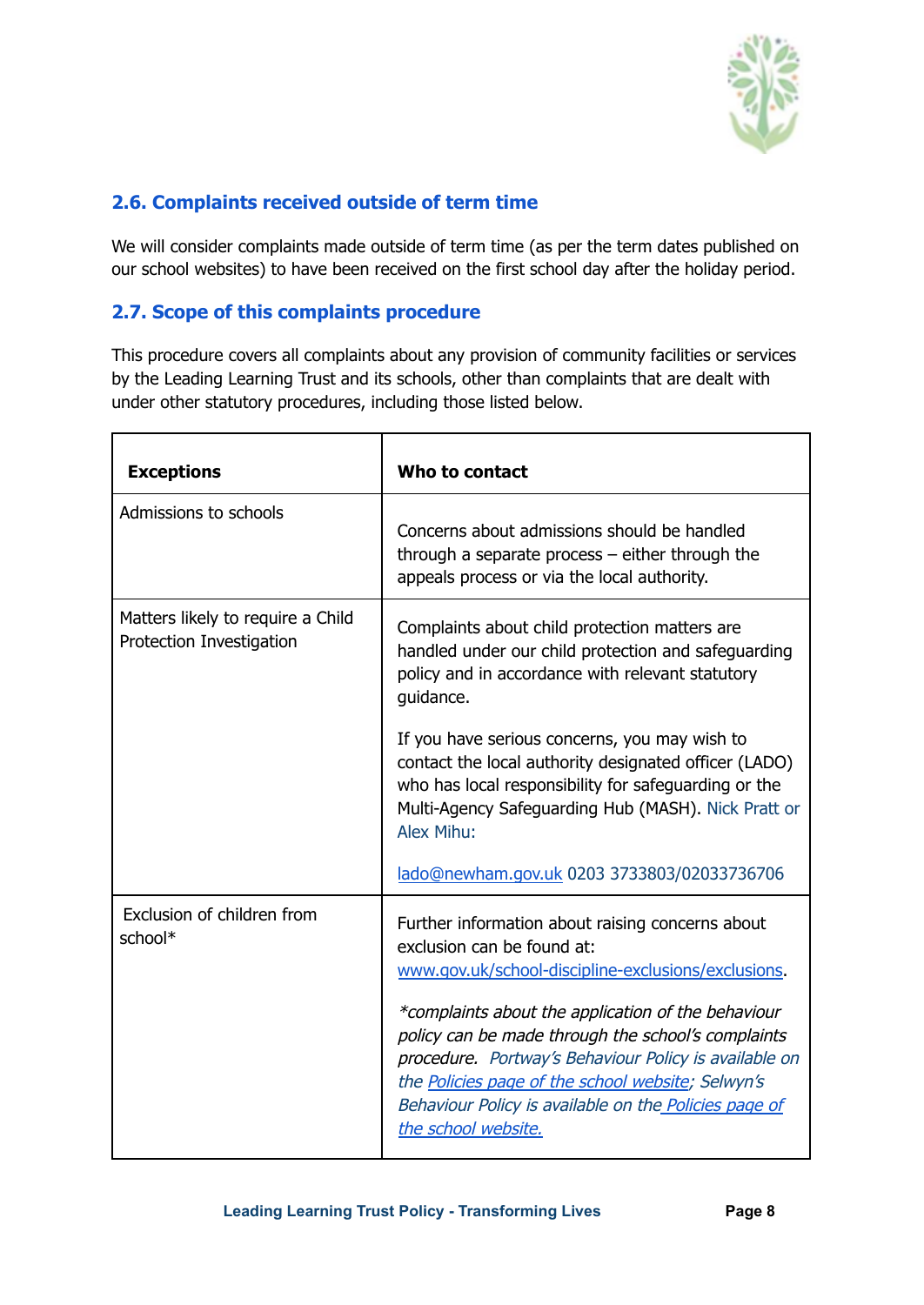

#### <span id="page-7-0"></span>**2.6. Complaints received outside of term time**

We will consider complaints made outside of term time (as per the term dates published on our school websites) to have been received on the first school day after the holiday period.

#### <span id="page-7-1"></span>**2.7. Scope of this complaints procedure**

This procedure covers all complaints about any provision of community facilities or services by the Leading Learning Trust and its schools, other than complaints that are dealt with under other statutory procedures, including those listed below.

| <b>Exceptions</b>                                             | Who to contact                                                                                                                                                                                                                                                                                                                                                                                                                                  |  |
|---------------------------------------------------------------|-------------------------------------------------------------------------------------------------------------------------------------------------------------------------------------------------------------------------------------------------------------------------------------------------------------------------------------------------------------------------------------------------------------------------------------------------|--|
| Admissions to schools                                         | Concerns about admissions should be handled<br>through a separate process $-$ either through the<br>appeals process or via the local authority.                                                                                                                                                                                                                                                                                                 |  |
| Matters likely to require a Child<br>Protection Investigation | Complaints about child protection matters are<br>handled under our child protection and safeguarding<br>policy and in accordance with relevant statutory<br>guidance.                                                                                                                                                                                                                                                                           |  |
|                                                               | If you have serious concerns, you may wish to<br>contact the local authority designated officer (LADO)<br>who has local responsibility for safeguarding or the<br>Multi-Agency Safeguarding Hub (MASH). Nick Pratt or<br>Alex Mihu:                                                                                                                                                                                                             |  |
|                                                               | lado@newham.gov.uk 0203 3733803/02033736706                                                                                                                                                                                                                                                                                                                                                                                                     |  |
| Exclusion of children from<br>school*                         | Further information about raising concerns about<br>exclusion can be found at:<br>www.gov.uk/school-discipline-exclusions/exclusions.<br>*complaints about the application of the behaviour<br>policy can be made through the school's complaints<br>procedure. Portway's Behaviour Policy is available on<br>the Policies page of the school website; Selwyn's<br>Behaviour Policy is available on the Policies page of<br>the school website. |  |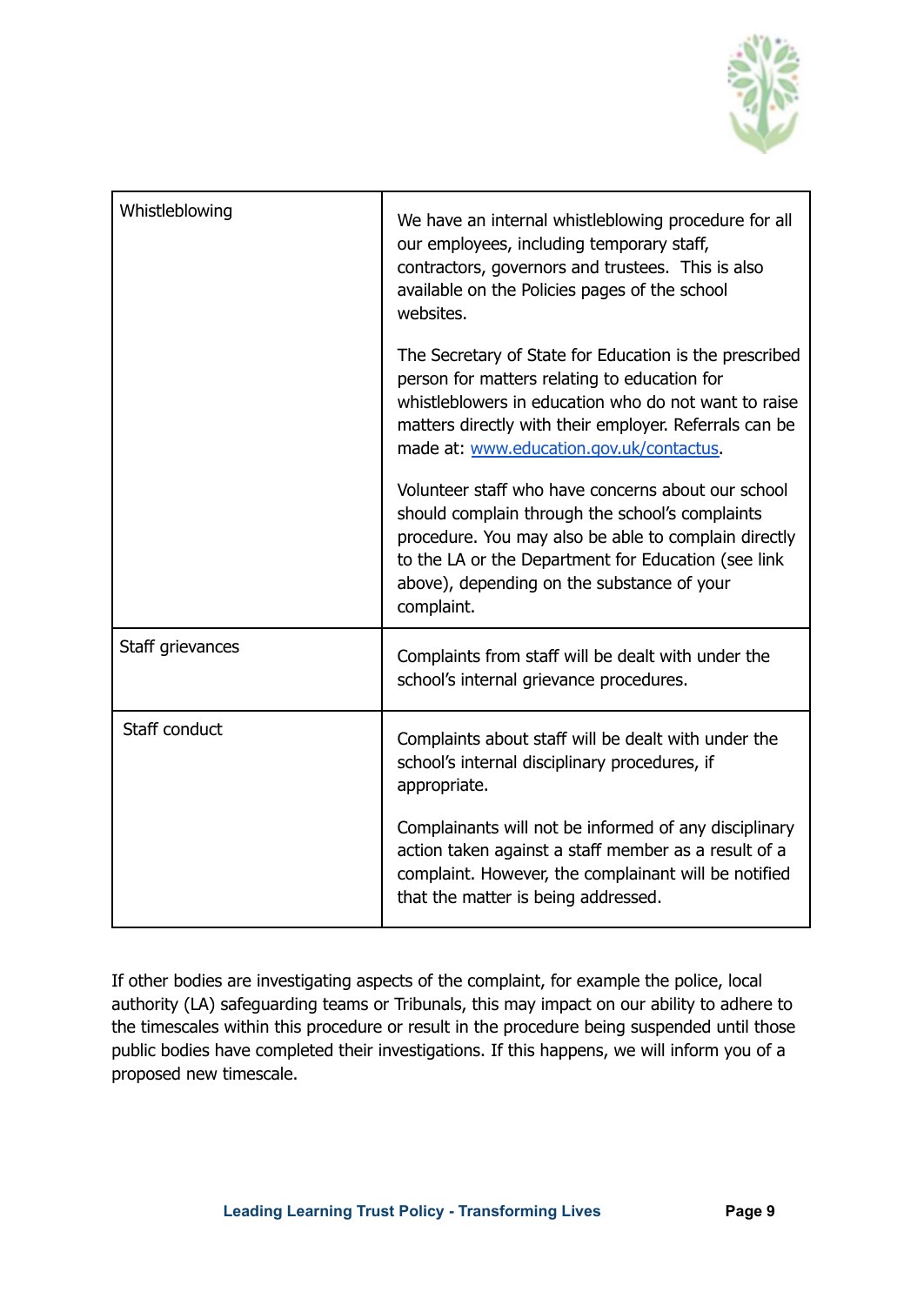

| Whistleblowing   | We have an internal whistleblowing procedure for all<br>our employees, including temporary staff,<br>contractors, governors and trustees. This is also<br>available on the Policies pages of the school<br>websites.                                                             |
|------------------|----------------------------------------------------------------------------------------------------------------------------------------------------------------------------------------------------------------------------------------------------------------------------------|
|                  | The Secretary of State for Education is the prescribed<br>person for matters relating to education for<br>whistleblowers in education who do not want to raise<br>matters directly with their employer. Referrals can be<br>made at: www.education.gov.uk/contactus.             |
|                  | Volunteer staff who have concerns about our school<br>should complain through the school's complaints<br>procedure. You may also be able to complain directly<br>to the LA or the Department for Education (see link<br>above), depending on the substance of your<br>complaint. |
| Staff grievances | Complaints from staff will be dealt with under the<br>school's internal grievance procedures.                                                                                                                                                                                    |
| Staff conduct    | Complaints about staff will be dealt with under the<br>school's internal disciplinary procedures, if<br>appropriate.                                                                                                                                                             |
|                  | Complainants will not be informed of any disciplinary<br>action taken against a staff member as a result of a<br>complaint. However, the complainant will be notified<br>that the matter is being addressed.                                                                     |

If other bodies are investigating aspects of the complaint, for example the police, local authority (LA) safeguarding teams or Tribunals, this may impact on our ability to adhere to the timescales within this procedure or result in the procedure being suspended until those public bodies have completed their investigations. If this happens, we will inform you of a proposed new timescale.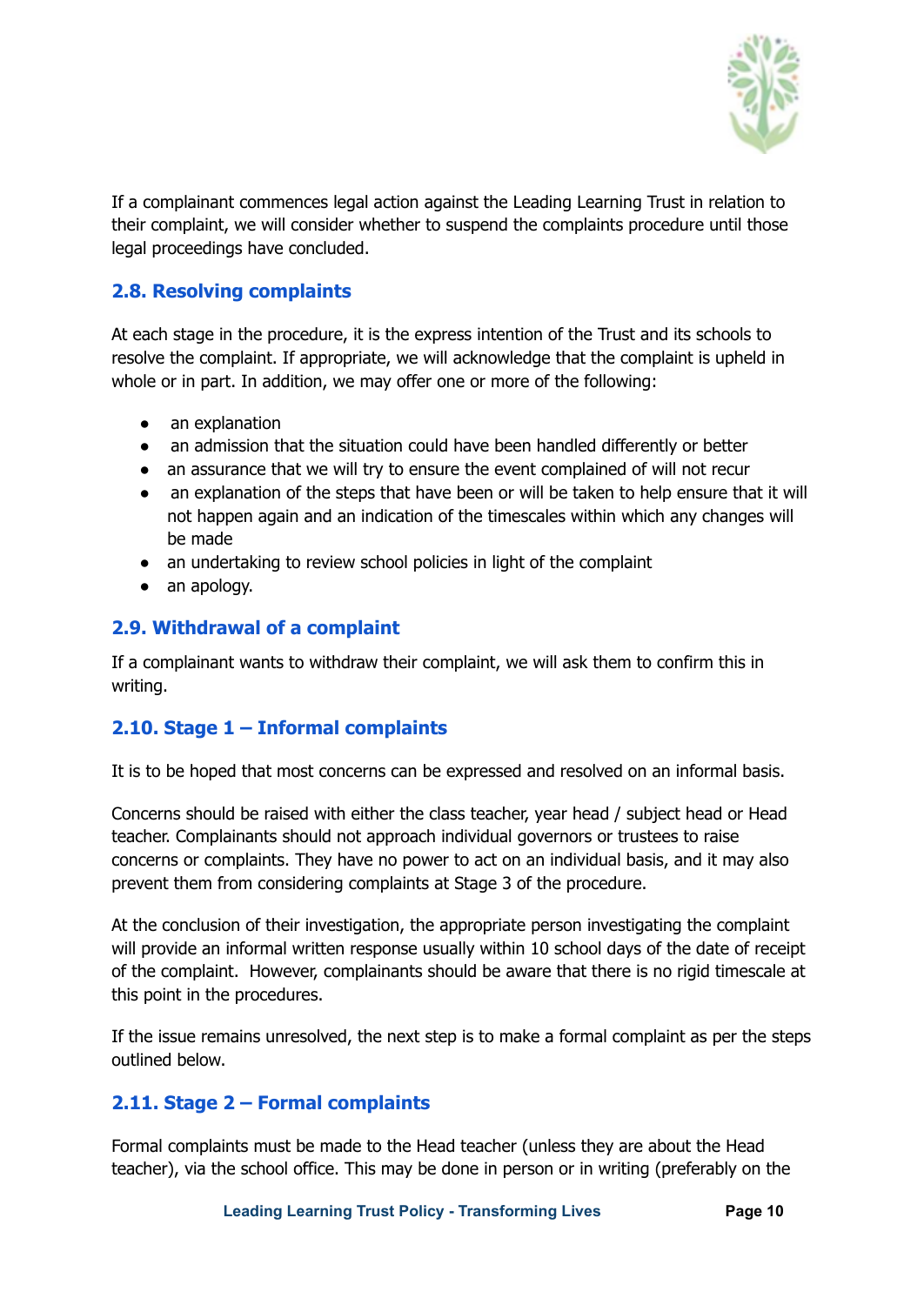

If a complainant commences legal action against the Leading Learning Trust in relation to their complaint, we will consider whether to suspend the complaints procedure until those legal proceedings have concluded.

#### <span id="page-9-0"></span>**2.8. Resolving complaints**

At each stage in the procedure, it is the express intention of the Trust and its schools to resolve the complaint. If appropriate, we will acknowledge that the complaint is upheld in whole or in part. In addition, we may offer one or more of the following:

- an explanation
- an admission that the situation could have been handled differently or better
- an assurance that we will try to ensure the event complained of will not recur
- an explanation of the steps that have been or will be taken to help ensure that it will not happen again and an indication of the timescales within which any changes will be made
- an undertaking to review school policies in light of the complaint
- an apology.

#### <span id="page-9-1"></span>**2.9. Withdrawal of a complaint**

If a complainant wants to withdraw their complaint, we will ask them to confirm this in writing.

#### <span id="page-9-2"></span>**2.10. Stage 1 – Informal complaints**

It is to be hoped that most concerns can be expressed and resolved on an informal basis.

Concerns should be raised with either the class teacher, year head / subject head or Head teacher. Complainants should not approach individual governors or trustees to raise concerns or complaints. They have no power to act on an individual basis, and it may also prevent them from considering complaints at Stage 3 of the procedure.

At the conclusion of their investigation, the appropriate person investigating the complaint will provide an informal written response usually within 10 school days of the date of receipt of the complaint. However, complainants should be aware that there is no rigid timescale at this point in the procedures.

If the issue remains unresolved, the next step is to make a formal complaint as per the steps outlined below.

#### <span id="page-9-3"></span>**2.11. Stage 2 – Formal complaints**

Formal complaints must be made to the Head teacher (unless they are about the Head teacher), via the school office. This may be done in person or in writing (preferably on the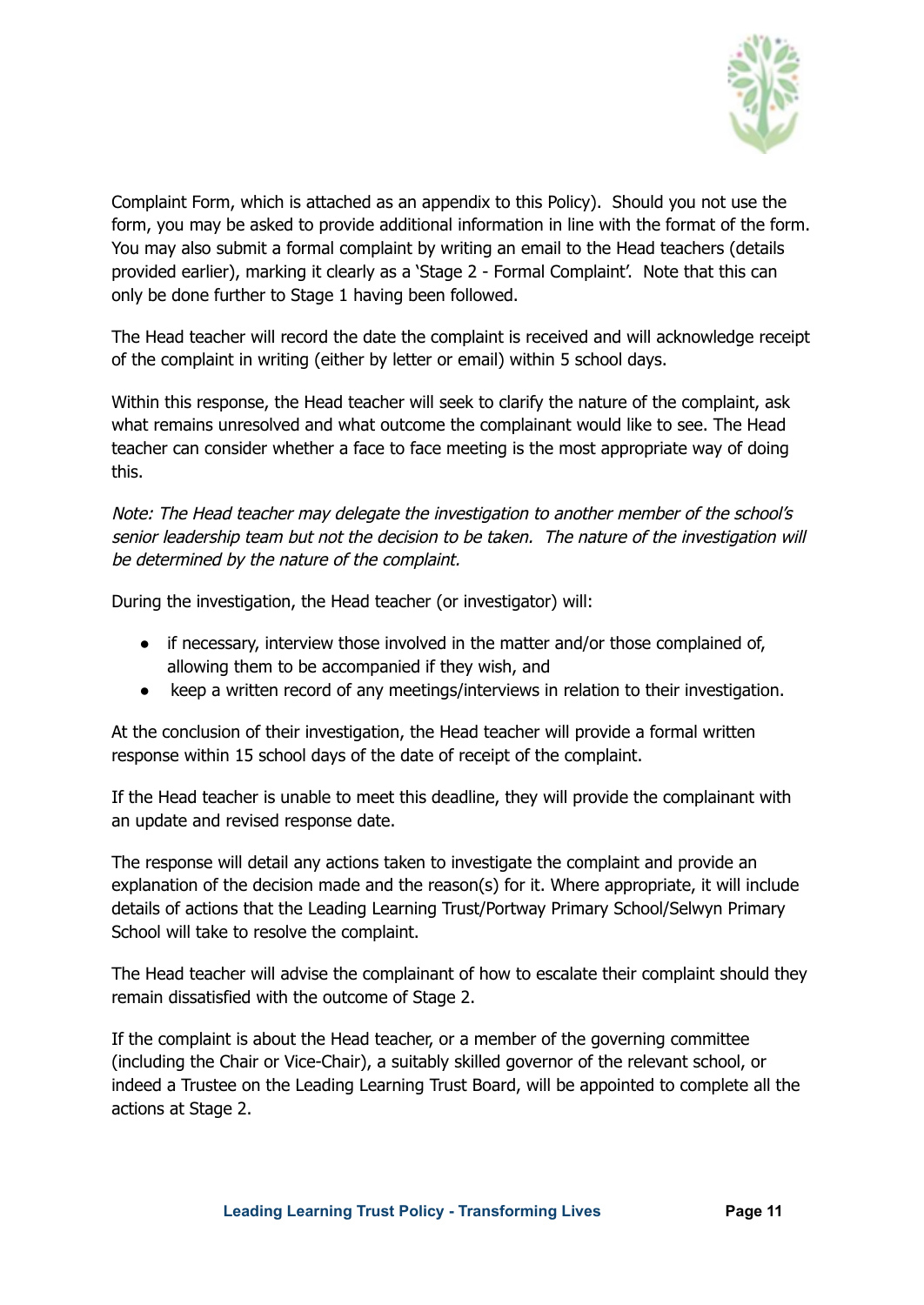

Complaint Form, which is attached as an appendix to this Policy). Should you not use the form, you may be asked to provide additional information in line with the format of the form. You may also submit a formal complaint by writing an email to the Head teachers (details provided earlier), marking it clearly as a 'Stage 2 - Formal Complaint'. Note that this can only be done further to Stage 1 having been followed.

The Head teacher will record the date the complaint is received and will acknowledge receipt of the complaint in writing (either by letter or email) within 5 school days.

Within this response, the Head teacher will seek to clarify the nature of the complaint, ask what remains unresolved and what outcome the complainant would like to see. The Head teacher can consider whether a face to face meeting is the most appropriate way of doing this.

Note: The Head teacher may delegate the investigation to another member of the school's senior leadership team but not the decision to be taken. The nature of the investigation will be determined by the nature of the complaint.

During the investigation, the Head teacher (or investigator) will:

- if necessary, interview those involved in the matter and/or those complained of, allowing them to be accompanied if they wish, and
- keep a written record of any meetings/interviews in relation to their investigation.

At the conclusion of their investigation, the Head teacher will provide a formal written response within 15 school days of the date of receipt of the complaint.

If the Head teacher is unable to meet this deadline, they will provide the complainant with an update and revised response date.

The response will detail any actions taken to investigate the complaint and provide an explanation of the decision made and the reason(s) for it. Where appropriate, it will include details of actions that the Leading Learning Trust/Portway Primary School/Selwyn Primary School will take to resolve the complaint.

The Head teacher will advise the complainant of how to escalate their complaint should they remain dissatisfied with the outcome of Stage 2.

If the complaint is about the Head teacher, or a member of the governing committee (including the Chair or Vice-Chair), a suitably skilled governor of the relevant school, or indeed a Trustee on the Leading Learning Trust Board, will be appointed to complete all the actions at Stage 2.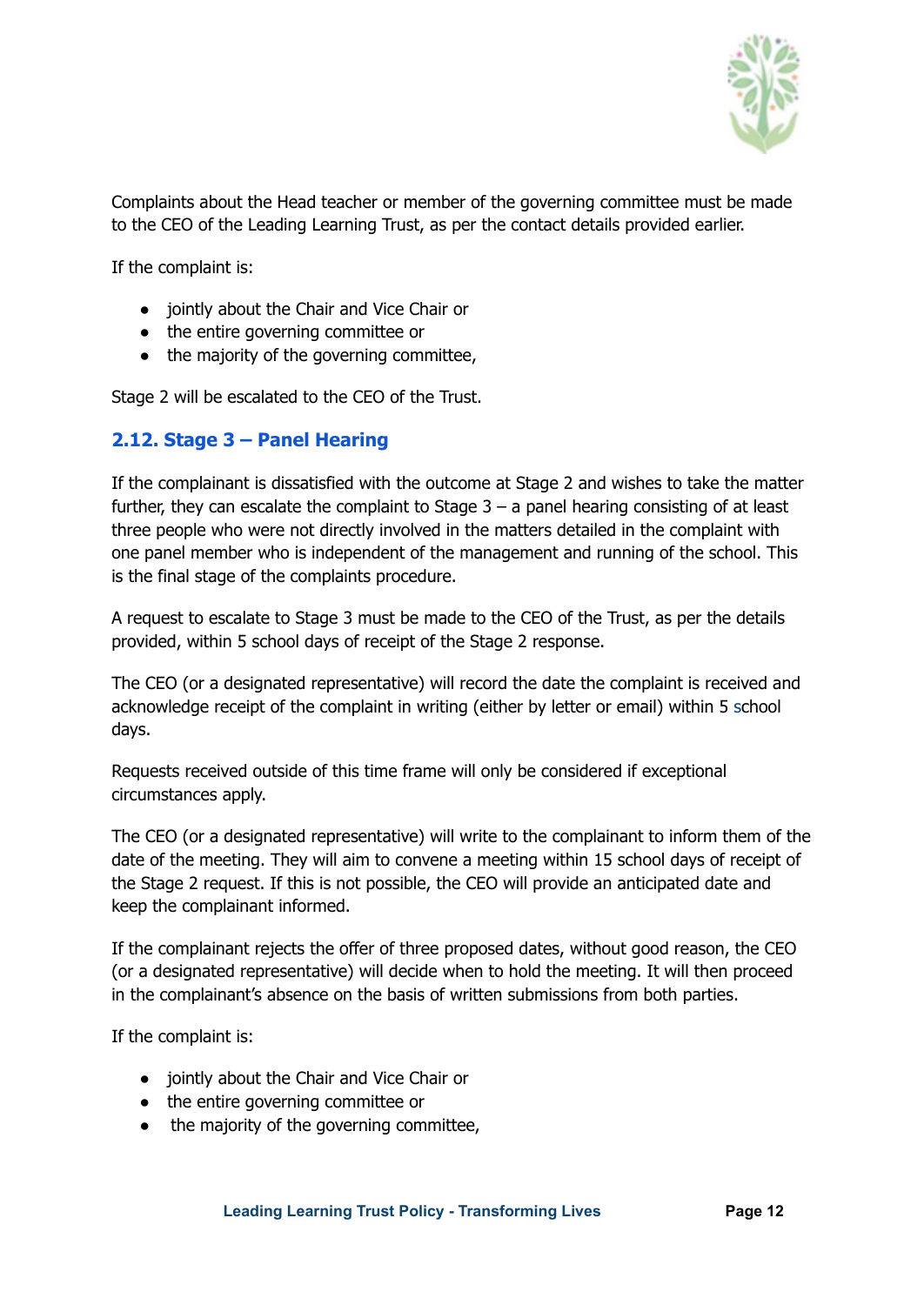

Complaints about the Head teacher or member of the governing committee must be made to the CEO of the Leading Learning Trust, as per the contact details provided earlier.

If the complaint is:

- jointly about the Chair and Vice Chair or
- the entire governing committee or
- the majority of the governing committee,

Stage 2 will be escalated to the CEO of the Trust.

#### <span id="page-11-0"></span>**2.12. Stage 3 – Panel Hearing**

If the complainant is dissatisfied with the outcome at Stage 2 and wishes to take the matter further, they can escalate the complaint to Stage  $3 - a$  panel hearing consisting of at least three people who were not directly involved in the matters detailed in the complaint with one panel member who is independent of the management and running of the school. This is the final stage of the complaints procedure.

A request to escalate to Stage 3 must be made to the CEO of the Trust, as per the details provided, within 5 school days of receipt of the Stage 2 response.

The CEO (or a designated representative) will record the date the complaint is received and acknowledge receipt of the complaint in writing (either by letter or email) within 5 school days.

Requests received outside of this time frame will only be considered if exceptional circumstances apply.

The CEO (or a designated representative) will write to the complainant to inform them of the date of the meeting. They will aim to convene a meeting within 15 school days of receipt of the Stage 2 request. If this is not possible, the CEO will provide an anticipated date and keep the complainant informed.

If the complainant rejects the offer of three proposed dates, without good reason, the CEO (or a designated representative) will decide when to hold the meeting. It will then proceed in the complainant's absence on the basis of written submissions from both parties.

If the complaint is:

- jointly about the Chair and Vice Chair or
- the entire governing committee or
- the majority of the governing committee,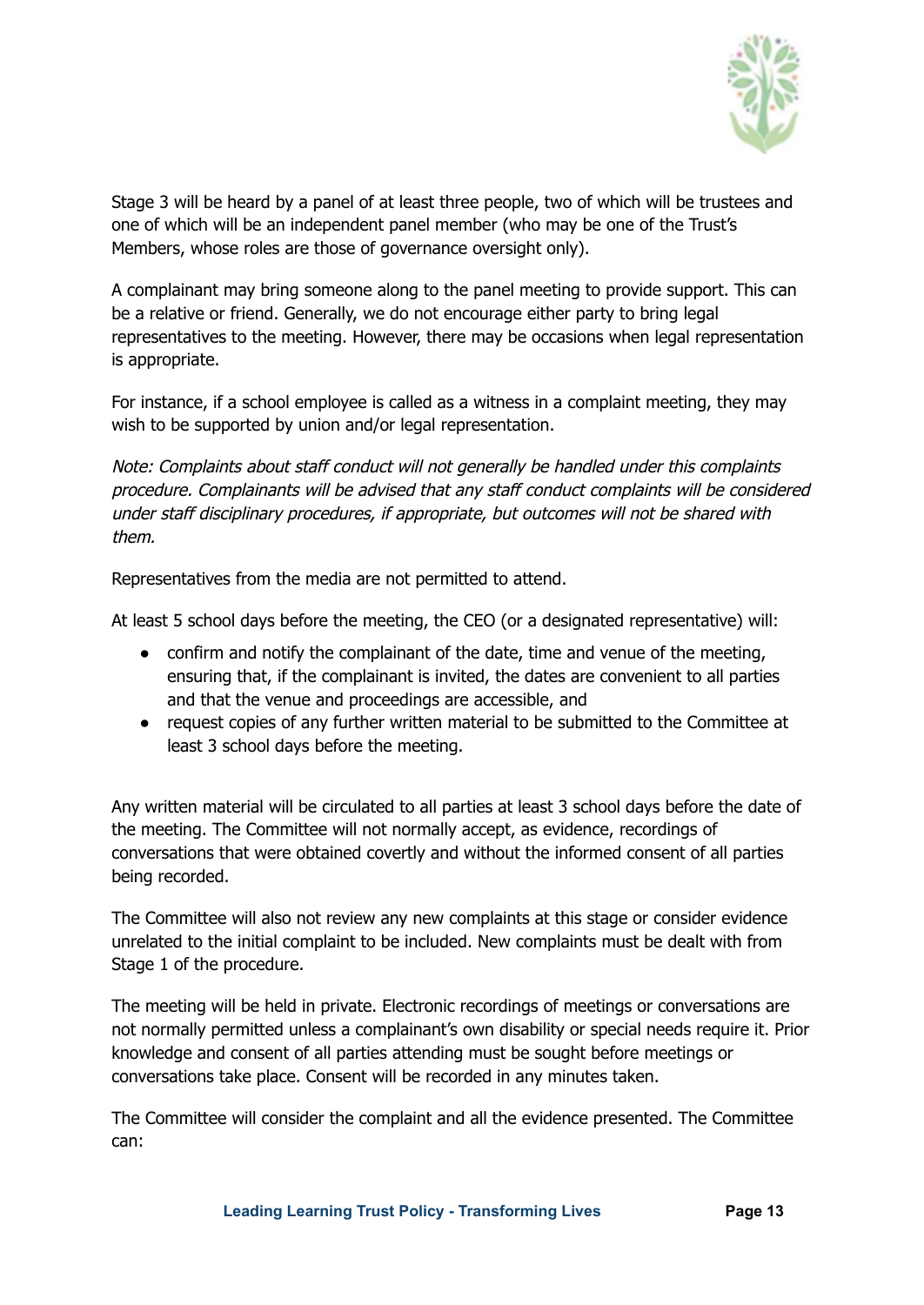

Stage 3 will be heard by a panel of at least three people, two of which will be trustees and one of which will be an independent panel member (who may be one of the Trust's Members, whose roles are those of governance oversight only).

A complainant may bring someone along to the panel meeting to provide support. This can be a relative or friend. Generally, we do not encourage either party to bring legal representatives to the meeting. However, there may be occasions when legal representation is appropriate.

For instance, if a school employee is called as a witness in a complaint meeting, they may wish to be supported by union and/or legal representation.

Note: Complaints about staff conduct will not generally be handled under this complaints procedure. Complainants will be advised that any staff conduct complaints will be considered under staff disciplinary procedures, if appropriate, but outcomes will not be shared with them.

Representatives from the media are not permitted to attend.

At least 5 school days before the meeting, the CEO (or a designated representative) will:

- confirm and notify the complainant of the date, time and venue of the meeting, ensuring that, if the complainant is invited, the dates are convenient to all parties and that the venue and proceedings are accessible, and
- request copies of any further written material to be submitted to the Committee at least 3 school days before the meeting.

Any written material will be circulated to all parties at least 3 school days before the date of the meeting. The Committee will not normally accept, as evidence, recordings of conversations that were obtained covertly and without the informed consent of all parties being recorded.

The Committee will also not review any new complaints at this stage or consider evidence unrelated to the initial complaint to be included. New complaints must be dealt with from Stage 1 of the procedure.

The meeting will be held in private. Electronic recordings of meetings or conversations are not normally permitted unless a complainant's own disability or special needs require it. Prior knowledge and consent of all parties attending must be sought before meetings or conversations take place. Consent will be recorded in any minutes taken.

The Committee will consider the complaint and all the evidence presented. The Committee can: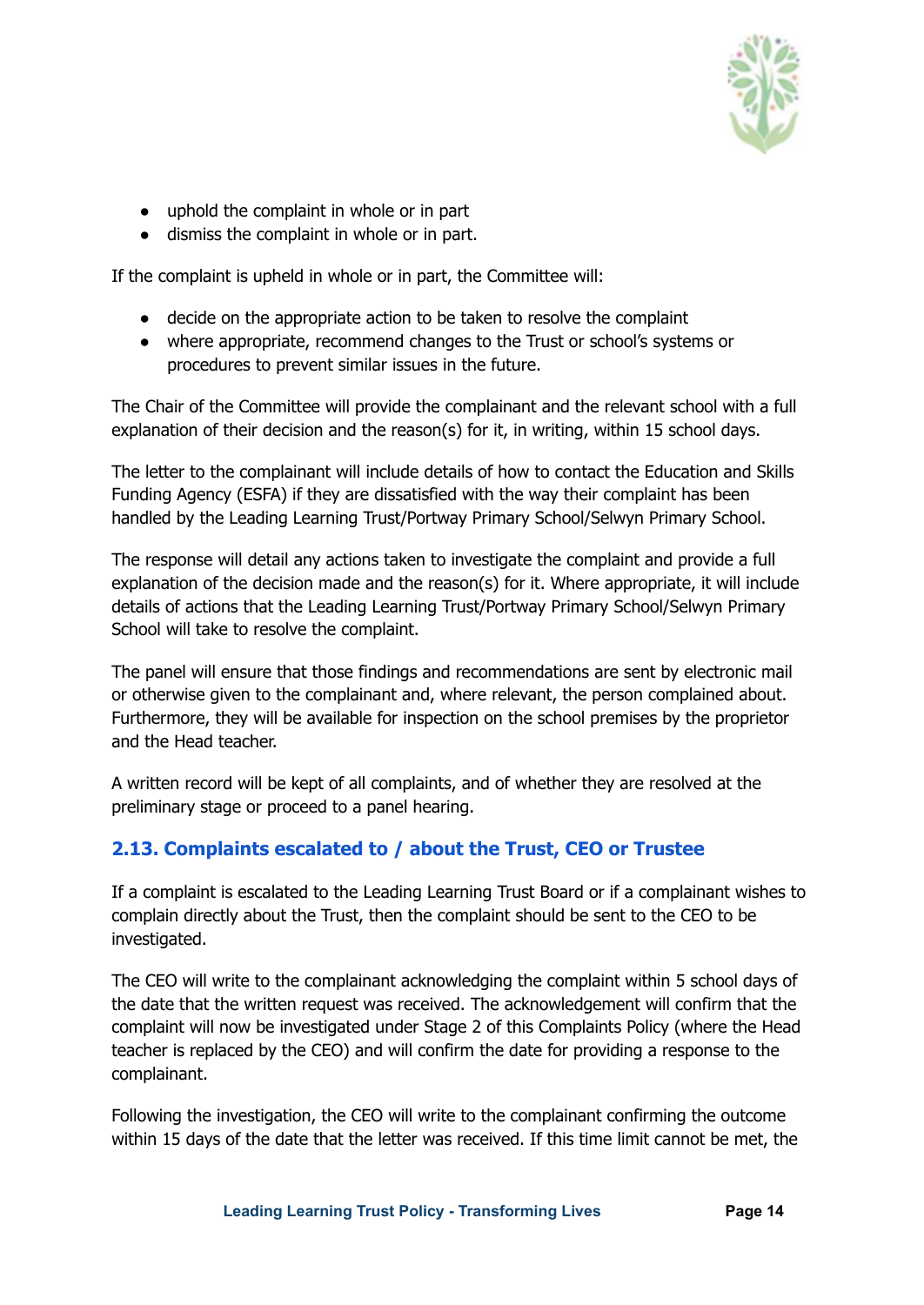

- uphold the complaint in whole or in part
- dismiss the complaint in whole or in part.

If the complaint is upheld in whole or in part, the Committee will:

- decide on the appropriate action to be taken to resolve the complaint
- where appropriate, recommend changes to the Trust or school's systems or procedures to prevent similar issues in the future.

The Chair of the Committee will provide the complainant and the relevant school with a full explanation of their decision and the reason(s) for it, in writing, within 15 school days.

The letter to the complainant will include details of how to contact the Education and Skills Funding Agency (ESFA) if they are dissatisfied with the way their complaint has been handled by the Leading Learning Trust/Portway Primary School/Selwyn Primary School.

The response will detail any actions taken to investigate the complaint and provide a full explanation of the decision made and the reason(s) for it. Where appropriate, it will include details of actions that the Leading Learning Trust/Portway Primary School/Selwyn Primary School will take to resolve the complaint.

The panel will ensure that those findings and recommendations are sent by electronic mail or otherwise given to the complainant and, where relevant, the person complained about. Furthermore, they will be available for inspection on the school premises by the proprietor and the Head teacher.

A written record will be kept of all complaints, and of whether they are resolved at the preliminary stage or proceed to a panel hearing.

#### <span id="page-13-0"></span>**2.13. Complaints escalated to / about the Trust, CEO or Trustee**

If a complaint is escalated to the Leading Learning Trust Board or if a complainant wishes to complain directly about the Trust, then the complaint should be sent to the CEO to be investigated.

The CEO will write to the complainant acknowledging the complaint within 5 school days of the date that the written request was received. The acknowledgement will confirm that the complaint will now be investigated under Stage 2 of this Complaints Policy (where the Head teacher is replaced by the CEO) and will confirm the date for providing a response to the complainant.

Following the investigation, the CEO will write to the complainant confirming the outcome within 15 days of the date that the letter was received. If this time limit cannot be met, the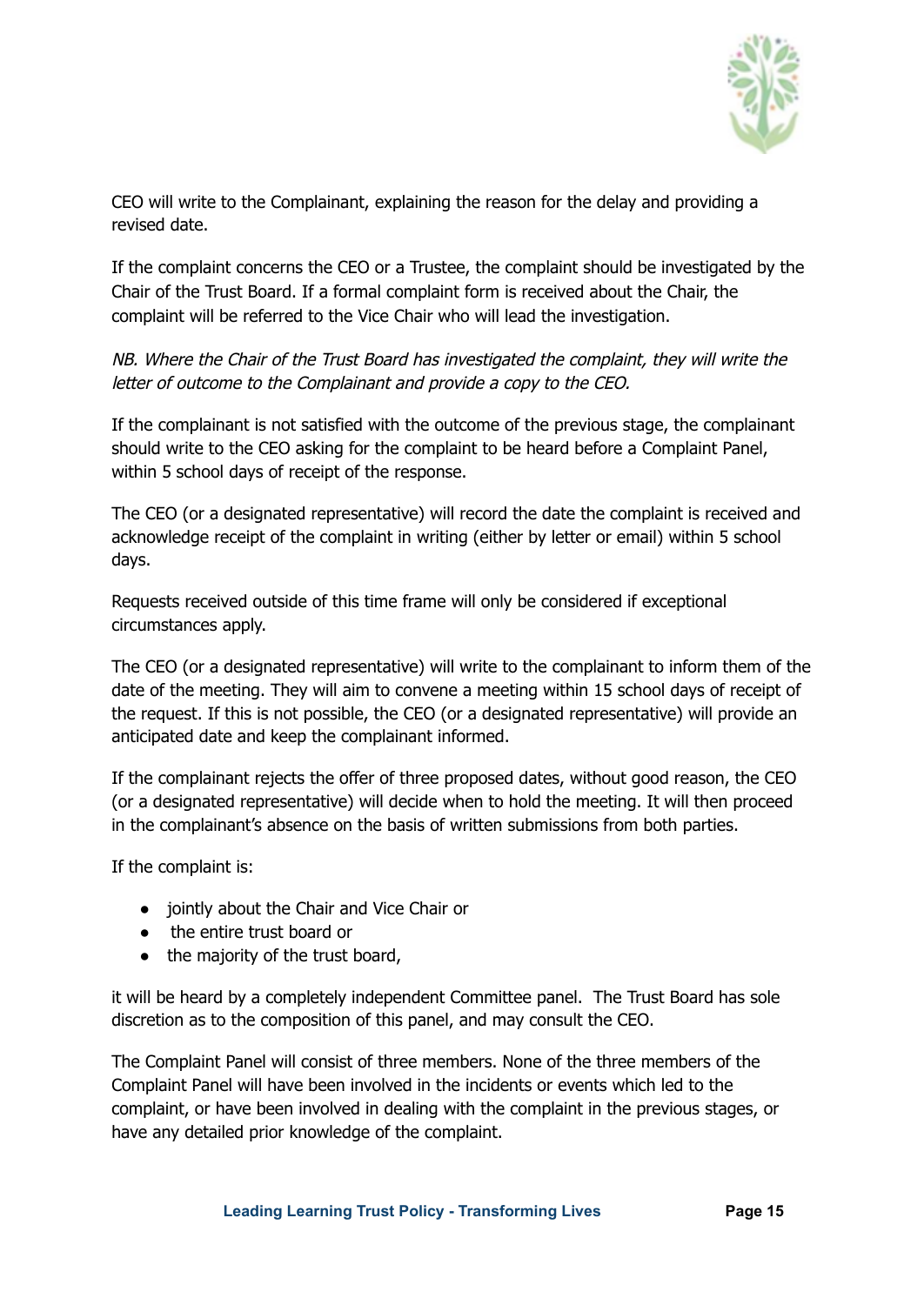

CEO will write to the Complainant, explaining the reason for the delay and providing a revised date.

If the complaint concerns the CEO or a Trustee, the complaint should be investigated by the Chair of the Trust Board. If a formal complaint form is received about the Chair, the complaint will be referred to the Vice Chair who will lead the investigation.

NB. Where the Chair of the Trust Board has investigated the complaint, they will write the letter of outcome to the Complainant and provide <sup>a</sup> copy to the CEO.

If the complainant is not satisfied with the outcome of the previous stage, the complainant should write to the CEO asking for the complaint to be heard before a Complaint Panel, within 5 school days of receipt of the response.

The CEO (or a designated representative) will record the date the complaint is received and acknowledge receipt of the complaint in writing (either by letter or email) within 5 school days.

Requests received outside of this time frame will only be considered if exceptional circumstances apply.

The CEO (or a designated representative) will write to the complainant to inform them of the date of the meeting. They will aim to convene a meeting within 15 school days of receipt of the request. If this is not possible, the CEO (or a designated representative) will provide an anticipated date and keep the complainant informed.

If the complainant rejects the offer of three proposed dates, without good reason, the CEO (or a designated representative) will decide when to hold the meeting. It will then proceed in the complainant's absence on the basis of written submissions from both parties.

If the complaint is:

- jointly about the Chair and Vice Chair or
- the entire trust board or
- the majority of the trust board,

it will be heard by a completely independent Committee panel. The Trust Board has sole discretion as to the composition of this panel, and may consult the CEO.

The Complaint Panel will consist of three members. None of the three members of the Complaint Panel will have been involved in the incidents or events which led to the complaint, or have been involved in dealing with the complaint in the previous stages, or have any detailed prior knowledge of the complaint.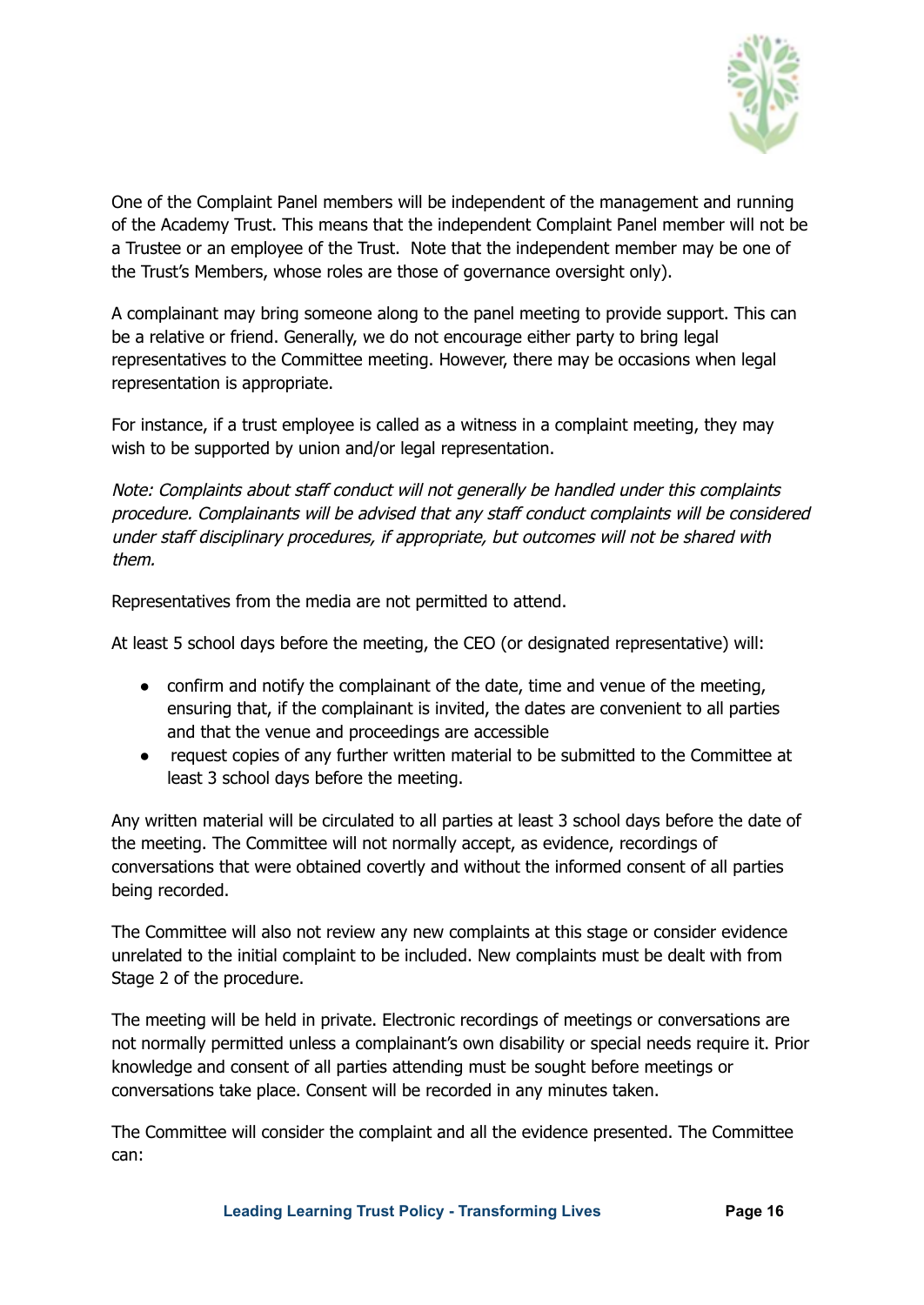

One of the Complaint Panel members will be independent of the management and running of the Academy Trust. This means that the independent Complaint Panel member will not be a Trustee or an employee of the Trust. Note that the independent member may be one of the Trust's Members, whose roles are those of governance oversight only).

A complainant may bring someone along to the panel meeting to provide support. This can be a relative or friend. Generally, we do not encourage either party to bring legal representatives to the Committee meeting. However, there may be occasions when legal representation is appropriate.

For instance, if a trust employee is called as a witness in a complaint meeting, they may wish to be supported by union and/or legal representation.

Note: Complaints about staff conduct will not generally be handled under this complaints procedure. Complainants will be advised that any staff conduct complaints will be considered under staff disciplinary procedures, if appropriate, but outcomes will not be shared with them.

Representatives from the media are not permitted to attend.

At least 5 school days before the meeting, the CEO (or designated representative) will:

- confirm and notify the complainant of the date, time and venue of the meeting, ensuring that, if the complainant is invited, the dates are convenient to all parties and that the venue and proceedings are accessible
- request copies of any further written material to be submitted to the Committee at least 3 school days before the meeting.

Any written material will be circulated to all parties at least 3 school days before the date of the meeting. The Committee will not normally accept, as evidence, recordings of conversations that were obtained covertly and without the informed consent of all parties being recorded.

The Committee will also not review any new complaints at this stage or consider evidence unrelated to the initial complaint to be included. New complaints must be dealt with from Stage 2 of the procedure.

The meeting will be held in private. Electronic recordings of meetings or conversations are not normally permitted unless a complainant's own disability or special needs require it. Prior knowledge and consent of all parties attending must be sought before meetings or conversations take place. Consent will be recorded in any minutes taken.

The Committee will consider the complaint and all the evidence presented. The Committee can:

**Leading Learning Trust Policy - Transforming Lives Page 16**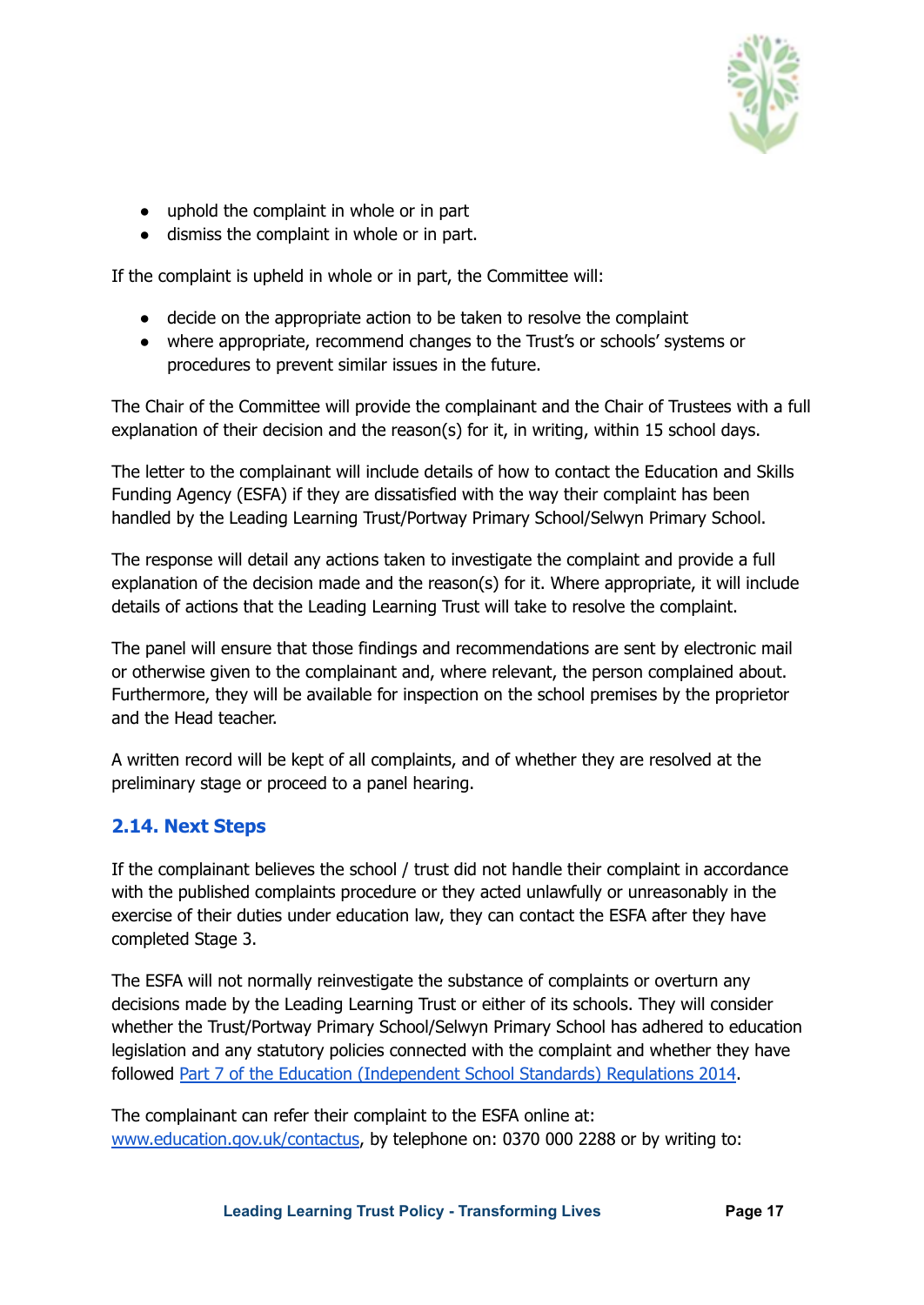

- uphold the complaint in whole or in part
- dismiss the complaint in whole or in part.

If the complaint is upheld in whole or in part, the Committee will:

- decide on the appropriate action to be taken to resolve the complaint
- where appropriate, recommend changes to the Trust's or schools' systems or procedures to prevent similar issues in the future.

The Chair of the Committee will provide the complainant and the Chair of Trustees with a full explanation of their decision and the reason(s) for it, in writing, within 15 school days.

The letter to the complainant will include details of how to contact the Education and Skills Funding Agency (ESFA) if they are dissatisfied with the way their complaint has been handled by the Leading Learning Trust/Portway Primary School/Selwyn Primary School.

The response will detail any actions taken to investigate the complaint and provide a full explanation of the decision made and the reason(s) for it. Where appropriate, it will include details of actions that the Leading Learning Trust will take to resolve the complaint.

The panel will ensure that those findings and recommendations are sent by electronic mail or otherwise given to the complainant and, where relevant, the person complained about. Furthermore, they will be available for inspection on the school premises by the proprietor and the Head teacher.

A written record will be kept of all complaints, and of whether they are resolved at the preliminary stage or proceed to a panel hearing.

#### <span id="page-16-0"></span>**2.14. Next Steps**

If the complainant believes the school / trust did not handle their complaint in accordance with the published complaints procedure or they acted unlawfully or unreasonably in the exercise of their duties under education law, they can contact the ESFA after they have completed Stage 3.

The ESFA will not normally reinvestigate the substance of complaints or overturn any decisions made by the Leading Learning Trust or either of its schools. They will consider whether the Trust/Portway Primary School/Selwyn Primary School has adhered to education legislation and any statutory policies connected with the complaint and whether they have followed Part 7 of the Education [\(Independent](http://www.legislation.gov.uk/uksi/2010/1997/schedule/1/made) School Standards) Regulations 2014.

The complainant can refer their complaint to the ESFA online at[:](http://www.education.gov.uk/contactus) [www.education.gov.uk/contactus,](http://www.education.gov.uk/contactus) by telephone on: 0370 000 2288 or by writing to: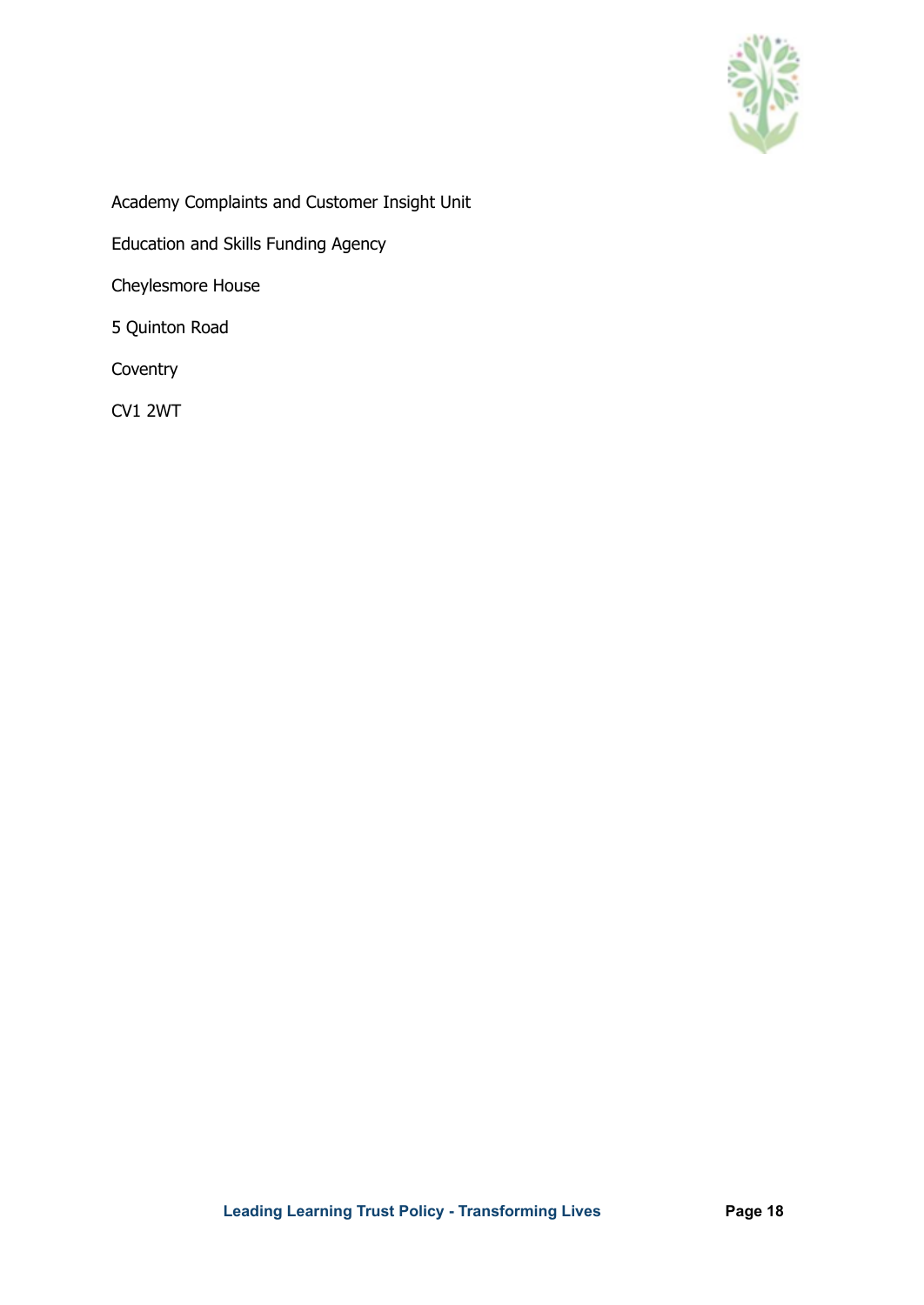

Academy Complaints and Customer Insight Unit

Education and Skills Funding Agency

Cheylesmore House

5 Quinton Road

**Coventry** 

CV1 2WT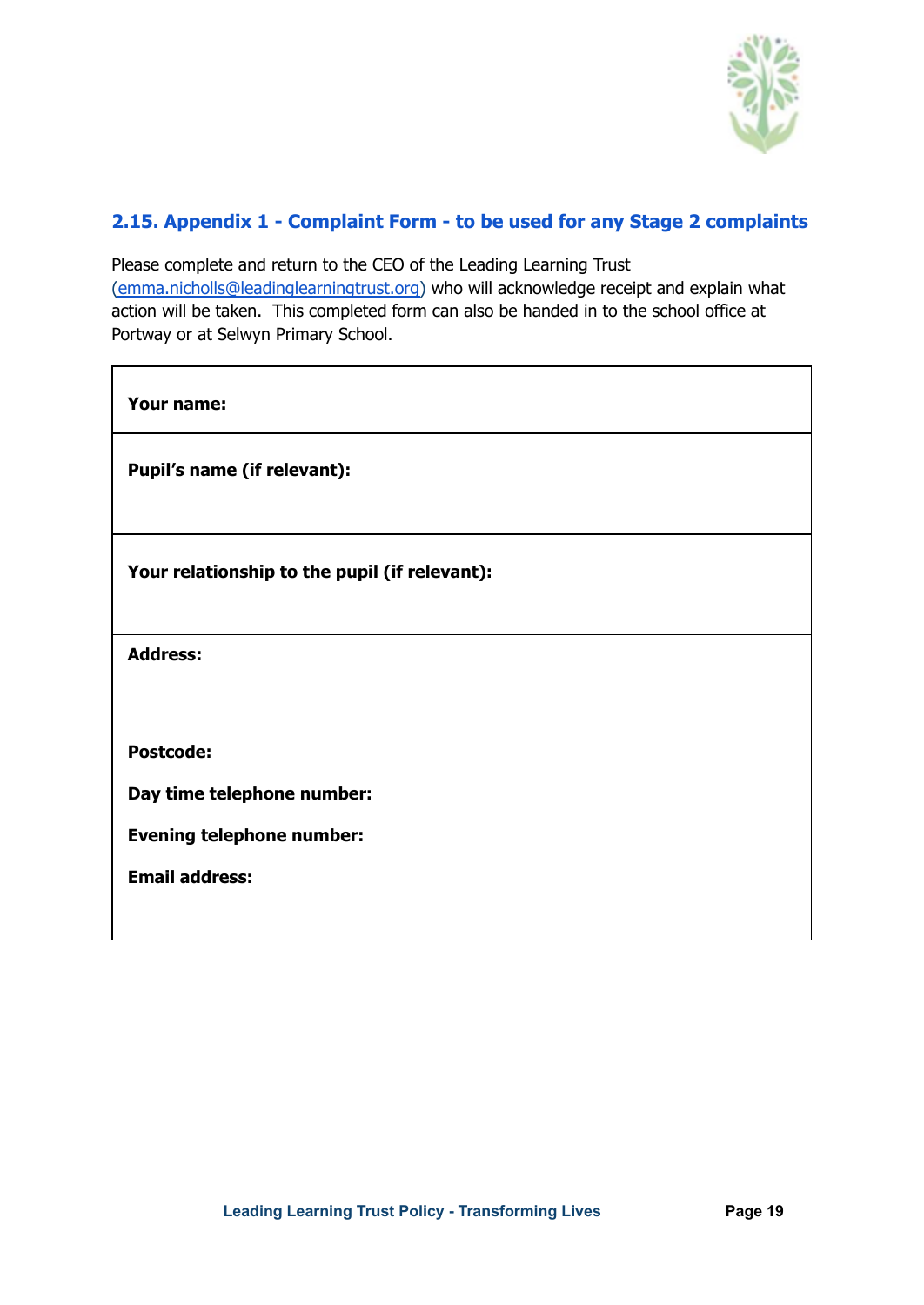

#### <span id="page-18-0"></span>**2.15. Appendix 1 - Complaint Form - to be used for any Stage 2 complaints**

Please complete and return to the CEO of the Leading Learning Trust [\(emma.nicholls@leadinglearningtrust.org\)](mailto:emma.nicholls@leadinglearningtrust.org) who will acknowledge receipt and explain what action will be taken. This completed form can also be handed in to the school office at Portway or at Selwyn Primary School.

| Your name:                                    |
|-----------------------------------------------|
| Pupil's name (if relevant):                   |
|                                               |
| Your relationship to the pupil (if relevant): |
| <b>Address:</b>                               |
|                                               |
| <b>Postcode:</b>                              |
| Day time telephone number:                    |
| <b>Evening telephone number:</b>              |
| <b>Email address:</b>                         |
|                                               |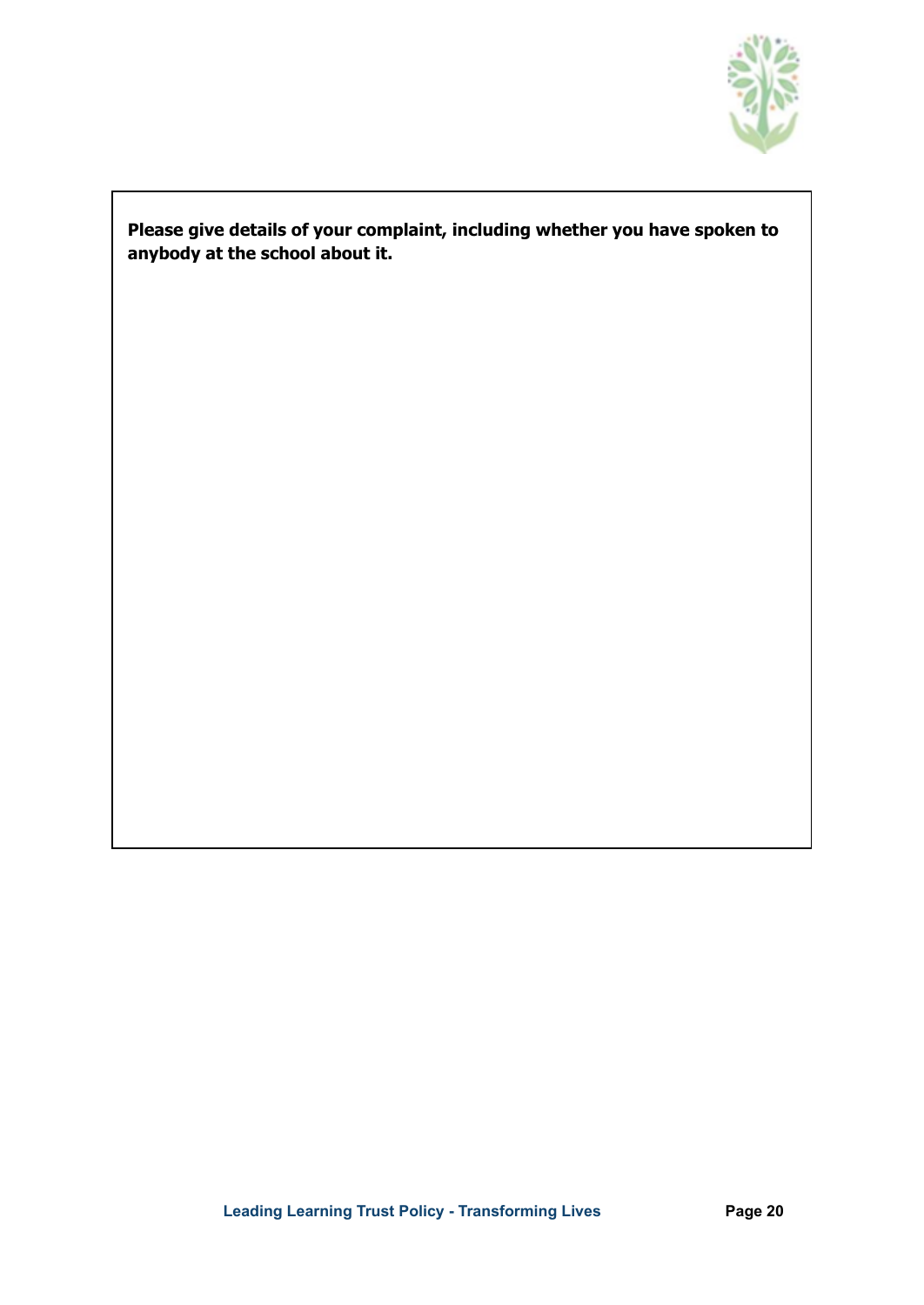

#### **Please give details of your complaint, including whether you have spoken to anybody at the school about it.**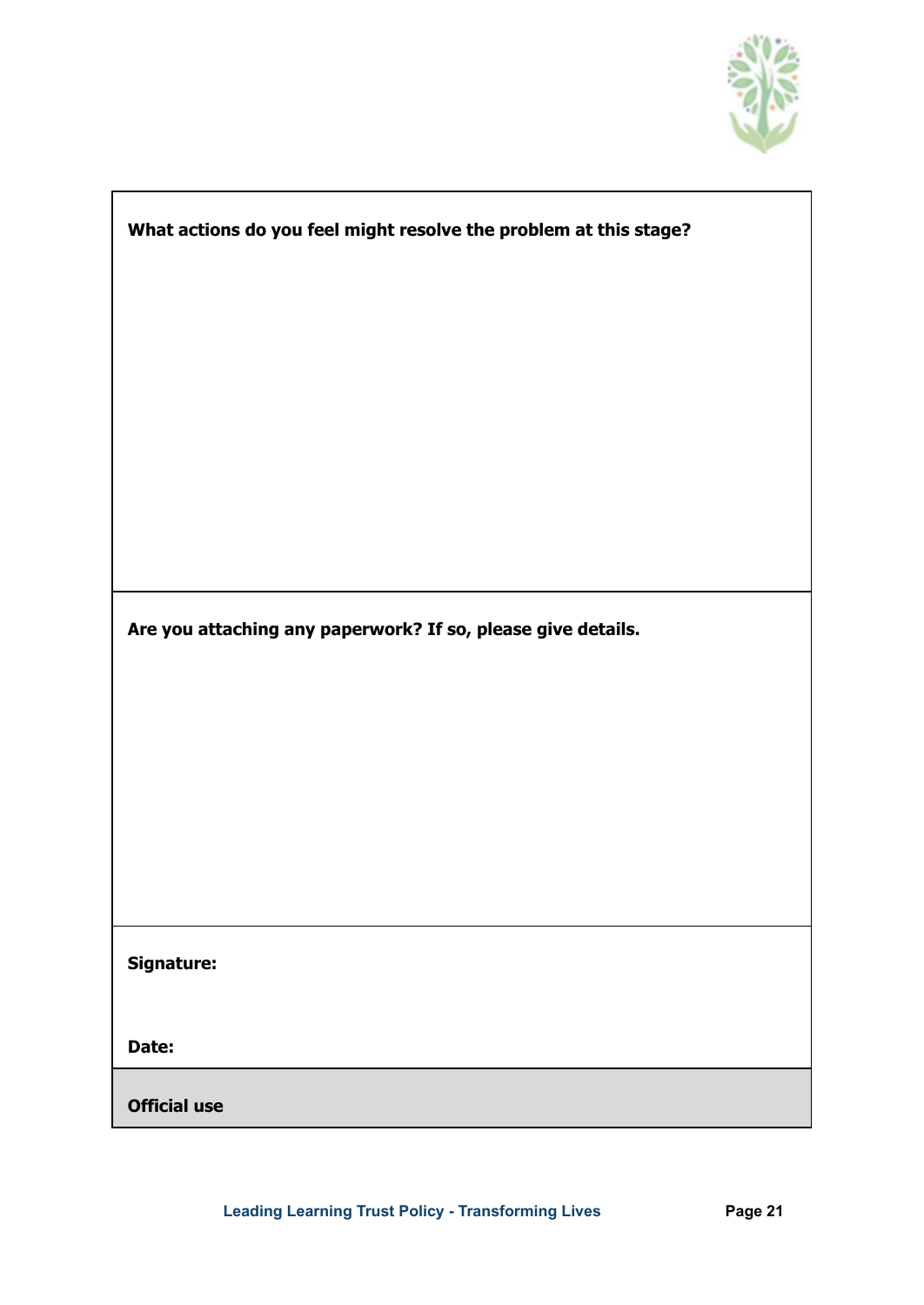

٦

| What actions do you feel might resolve the problem at this stage? |  |  |  |
|-------------------------------------------------------------------|--|--|--|
|                                                                   |  |  |  |
|                                                                   |  |  |  |
|                                                                   |  |  |  |
|                                                                   |  |  |  |
|                                                                   |  |  |  |
|                                                                   |  |  |  |
|                                                                   |  |  |  |
| Are you attaching any paperwork? If so, please give details.      |  |  |  |
|                                                                   |  |  |  |
|                                                                   |  |  |  |
|                                                                   |  |  |  |
|                                                                   |  |  |  |
|                                                                   |  |  |  |
| Signature:                                                        |  |  |  |
|                                                                   |  |  |  |
| Date:                                                             |  |  |  |
| <b>Official use</b>                                               |  |  |  |

 $\Gamma$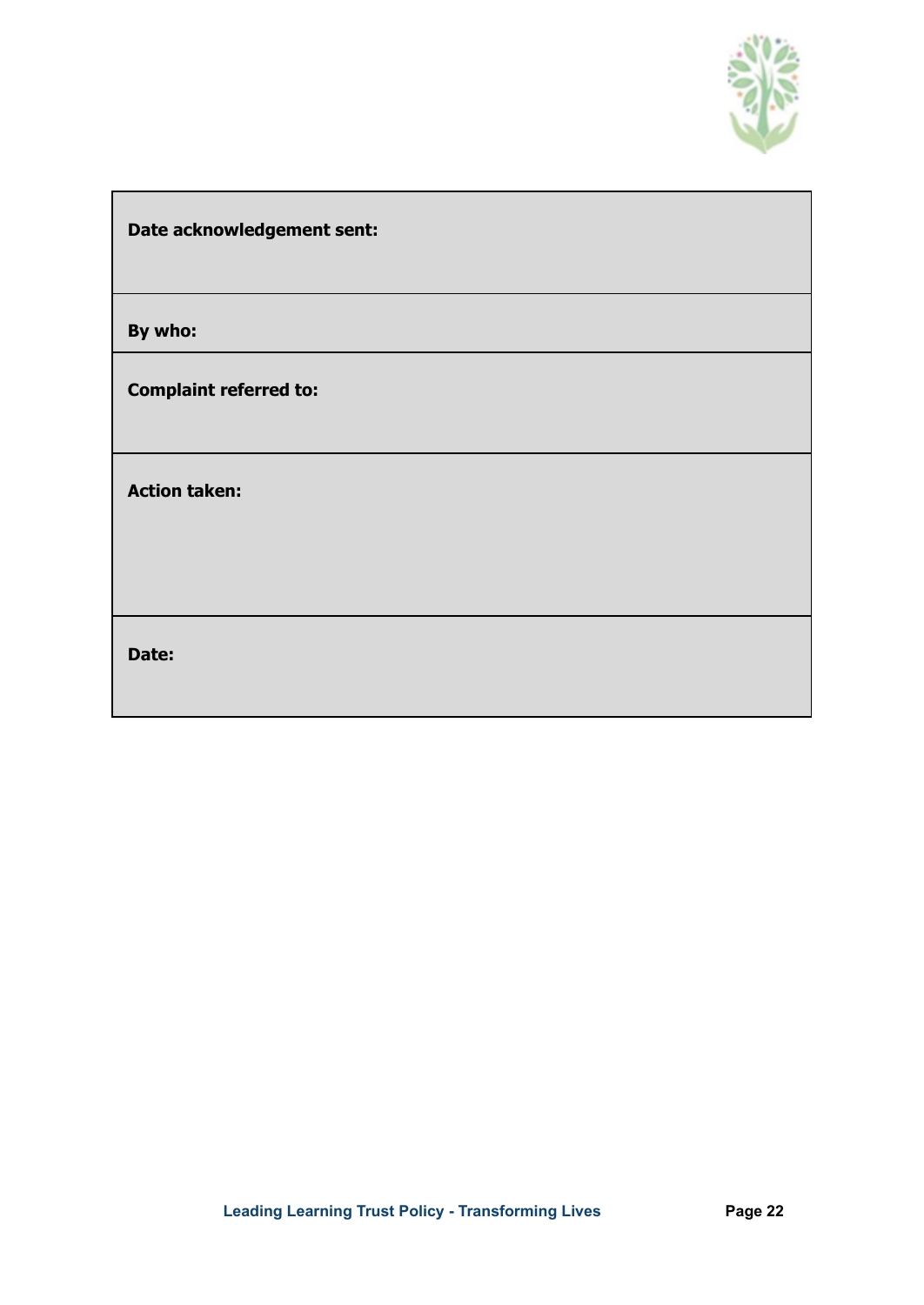

| Date acknowledgement sent: |  |
|----------------------------|--|
|                            |  |

**By who:**

**Complaint referred to:**

**Action taken:**

**Date:**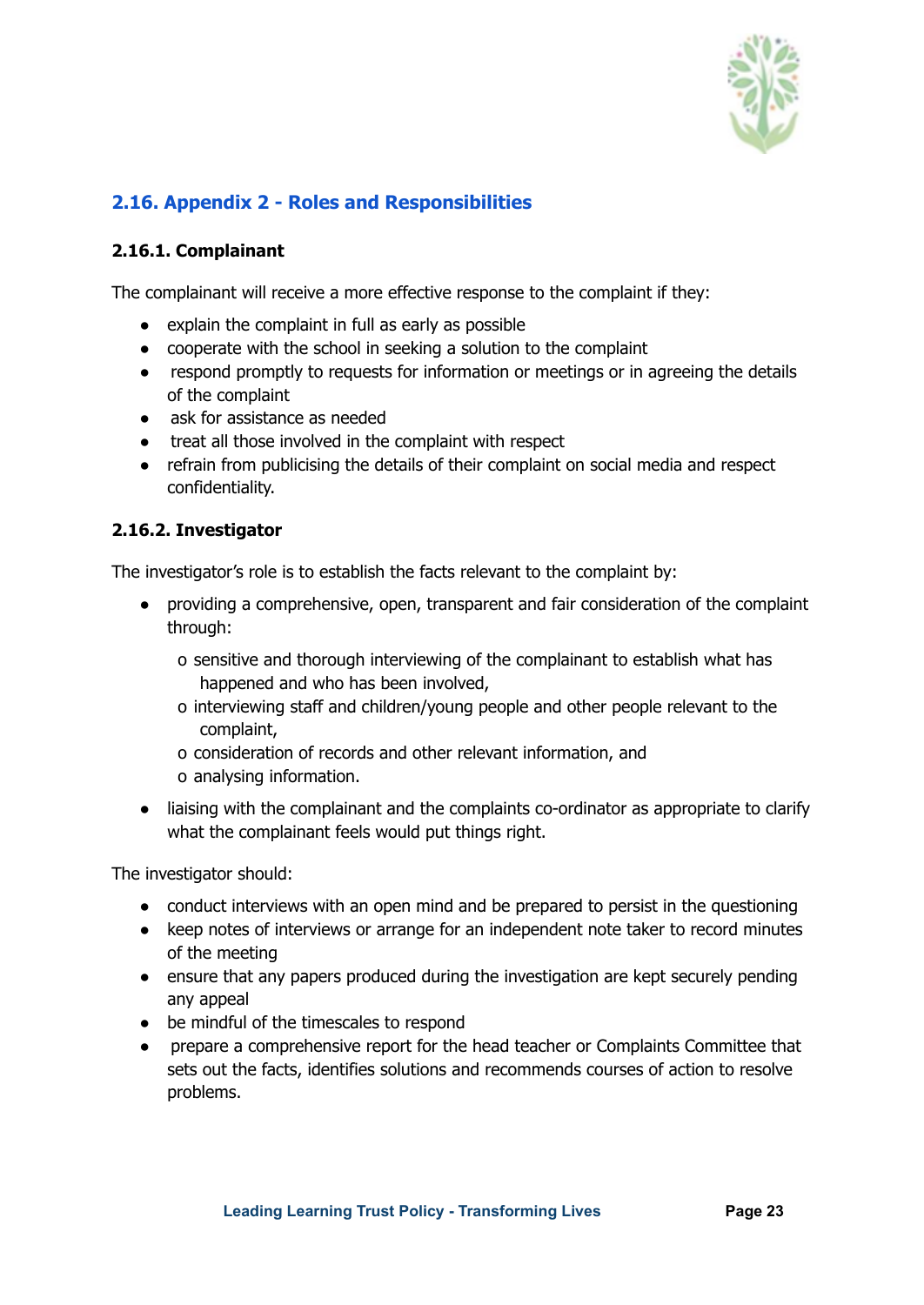

#### <span id="page-22-0"></span>**2.16. Appendix 2 - Roles and Responsibilities**

#### <span id="page-22-1"></span>**2.16.1. Complainant**

The complainant will receive a more effective response to the complaint if they:

- explain the complaint in full as early as possible
- cooperate with the school in seeking a solution to the complaint
- respond promptly to requests for information or meetings or in agreeing the details of the complaint
- ask for assistance as needed
- treat all those involved in the complaint with respect
- refrain from publicising the details of their complaint on social media and respect confidentiality.

#### <span id="page-22-2"></span>**2.16.2. Investigator**

The investigator's role is to establish the facts relevant to the complaint by:

- providing a comprehensive, open, transparent and fair consideration of the complaint through:
	- o sensitive and thorough interviewing of the complainant to establish what has happened and who has been involved,
	- o interviewing staff and children/young people and other people relevant to the complaint,
	- o consideration of records and other relevant information, and o analysing information.
- liaising with the complainant and the complaints co-ordinator as appropriate to clarify what the complainant feels would put things right.

The investigator should:

- conduct interviews with an open mind and be prepared to persist in the questioning
- keep notes of interviews or arrange for an independent note taker to record minutes of the meeting
- ensure that any papers produced during the investigation are kept securely pending any appeal
- be mindful of the timescales to respond
- prepare a comprehensive report for the head teacher or Complaints Committee that sets out the facts, identifies solutions and recommends courses of action to resolve problems.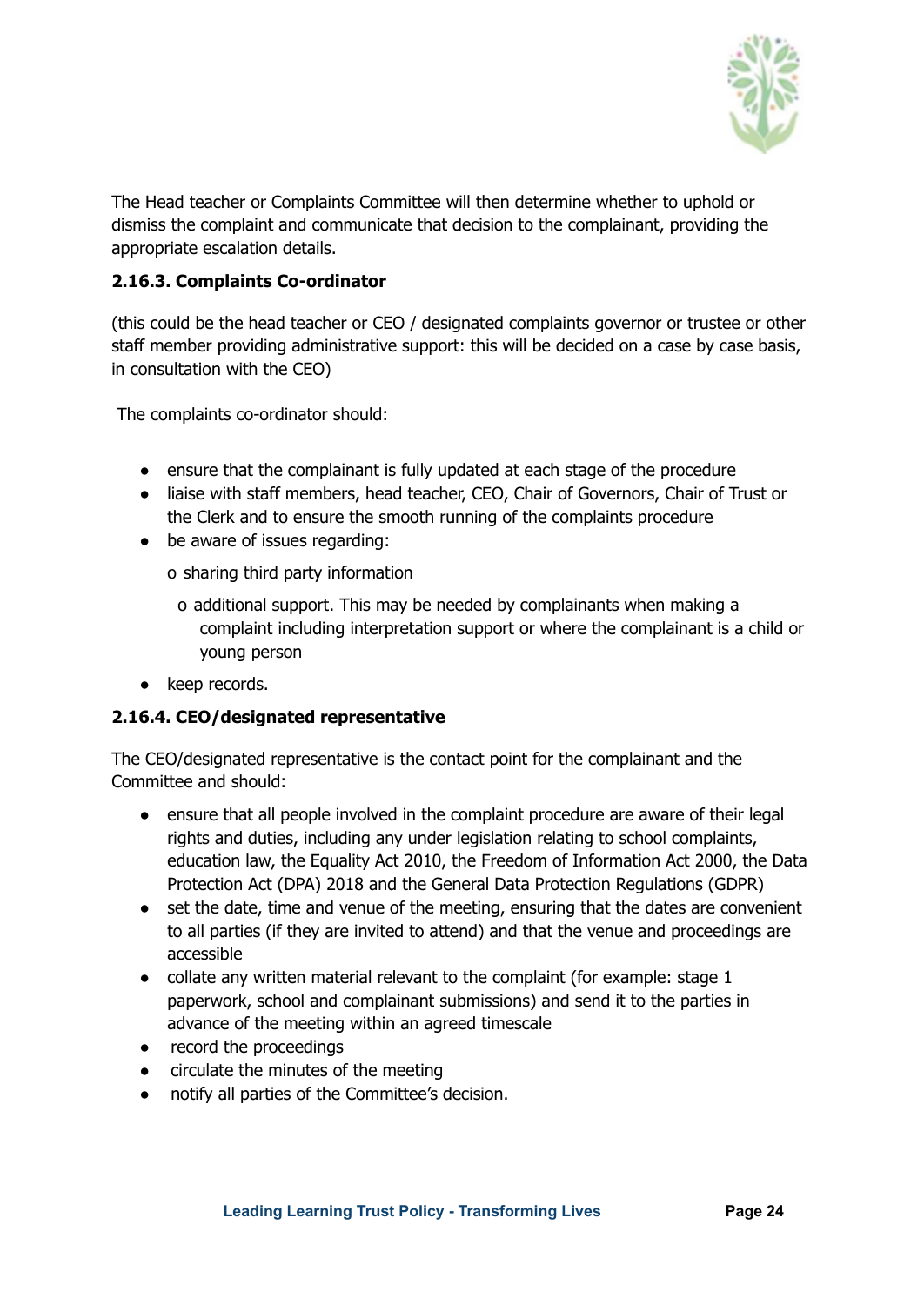

The Head teacher or Complaints Committee will then determine whether to uphold or dismiss the complaint and communicate that decision to the complainant, providing the appropriate escalation details.

#### <span id="page-23-0"></span>**2.16.3. Complaints Co-ordinator**

(this could be the head teacher or CEO / designated complaints governor or trustee or other staff member providing administrative support: this will be decided on a case by case basis, in consultation with the CEO)

The complaints co-ordinator should:

- ensure that the complainant is fully updated at each stage of the procedure
- liaise with staff members, head teacher, CEO, Chair of Governors, Chair of Trust or the Clerk and to ensure the smooth running of the complaints procedure
- be aware of issues regarding:

o sharing third party information

- o additional support. This may be needed by complainants when making a complaint including interpretation support or where the complainant is a child or young person
- keep records.

#### <span id="page-23-1"></span>**2.16.4. CEO/designated representative**

The CEO/designated representative is the contact point for the complainant and the Committee and should:

- ensure that all people involved in the complaint procedure are aware of their legal rights and duties, including any under legislation relating to school complaints, education law, the Equality Act 2010, the Freedom of Information Act 2000, the Data Protection Act (DPA) 2018 and the General Data Protection Regulations (GDPR)
- set the date, time and venue of the meeting, ensuring that the dates are convenient to all parties (if they are invited to attend) and that the venue and proceedings are accessible
- collate any written material relevant to the complaint (for example: stage 1 paperwork, school and complainant submissions) and send it to the parties in advance of the meeting within an agreed timescale
- record the proceedings
- circulate the minutes of the meeting
- notify all parties of the Committee's decision.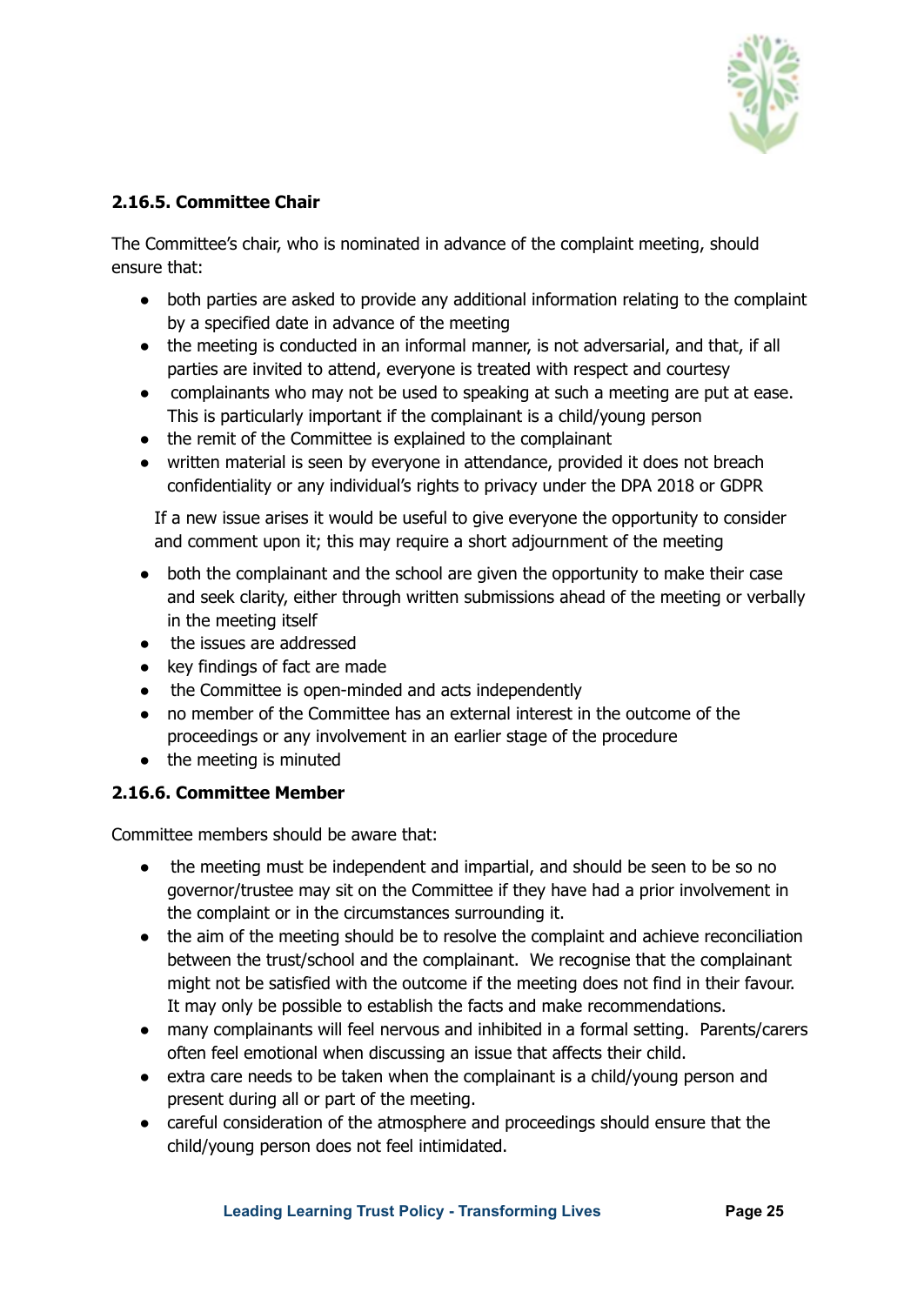

#### <span id="page-24-0"></span>**2.16.5. Committee Chair**

The Committee's chair, who is nominated in advance of the complaint meeting, should ensure that:

- both parties are asked to provide any additional information relating to the complaint by a specified date in advance of the meeting
- the meeting is conducted in an informal manner, is not adversarial, and that, if all parties are invited to attend, everyone is treated with respect and courtesy
- complainants who may not be used to speaking at such a meeting are put at ease. This is particularly important if the complainant is a child/young person
- the remit of the Committee is explained to the complainant
- written material is seen by everyone in attendance, provided it does not breach confidentiality or any individual's rights to privacy under the DPA 2018 or GDPR

If a new issue arises it would be useful to give everyone the opportunity to consider and comment upon it; this may require a short adjournment of the meeting

- both the complainant and the school are given the opportunity to make their case and seek clarity, either through written submissions ahead of the meeting or verbally in the meeting itself
- the issues are addressed
- key findings of fact are made
- the Committee is open-minded and acts independently
- no member of the Committee has an external interest in the outcome of the proceedings or any involvement in an earlier stage of the procedure
- the meeting is minuted

#### <span id="page-24-1"></span>**2.16.6. Committee Member**

Committee members should be aware that:

- the meeting must be independent and impartial, and should be seen to be so no governor/trustee may sit on the Committee if they have had a prior involvement in the complaint or in the circumstances surrounding it.
- the aim of the meeting should be to resolve the complaint and achieve reconciliation between the trust/school and the complainant. We recognise that the complainant might not be satisfied with the outcome if the meeting does not find in their favour. It may only be possible to establish the facts and make recommendations.
- many complainants will feel nervous and inhibited in a formal setting. Parents/carers often feel emotional when discussing an issue that affects their child.
- extra care needs to be taken when the complainant is a child/young person and present during all or part of the meeting.
- careful consideration of the atmosphere and proceedings should ensure that the child/young person does not feel intimidated.

**Leading Learning Trust Policy - Transforming Lives Page 25**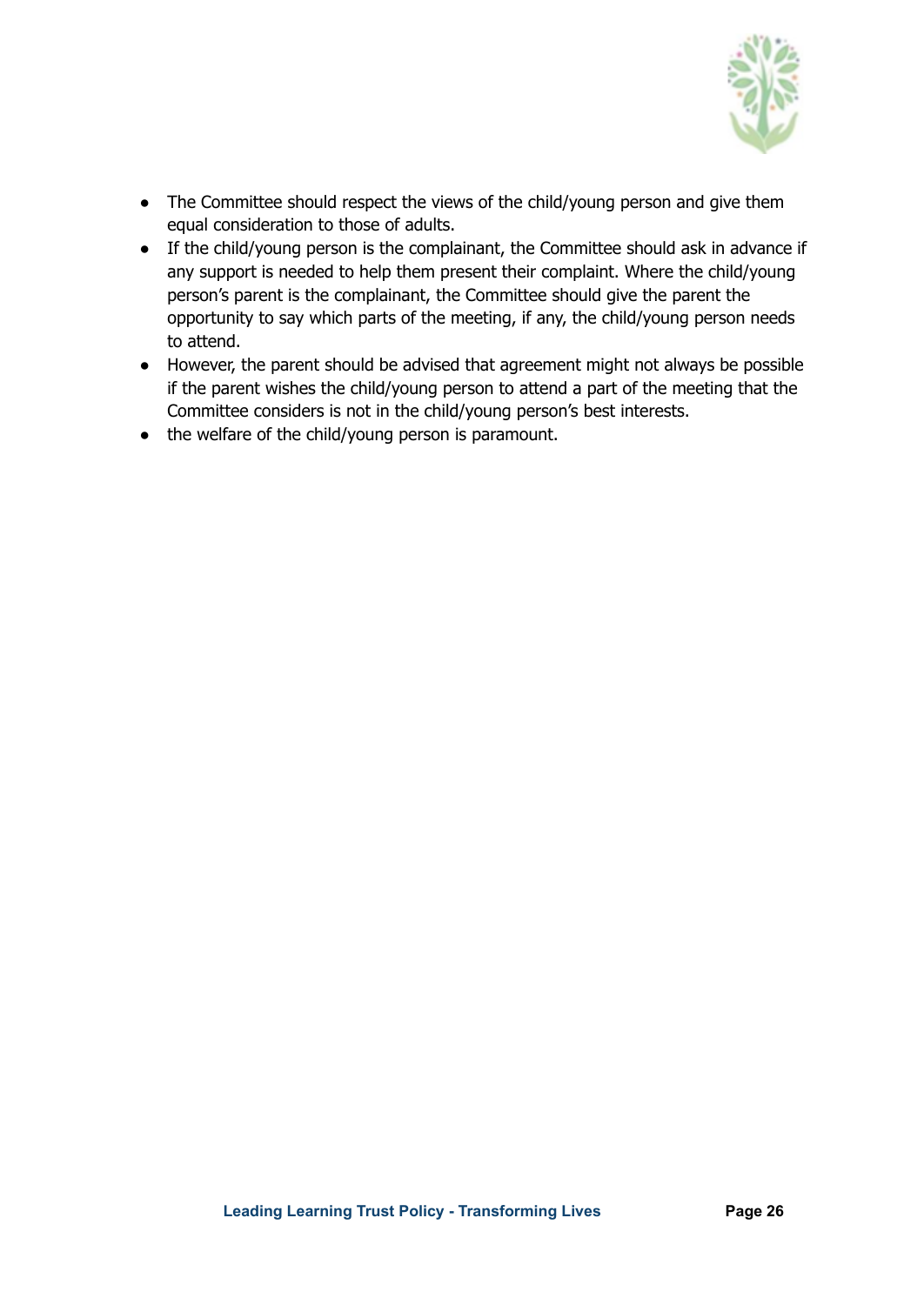

- The Committee should respect the views of the child/young person and give them equal consideration to those of adults.
- If the child/young person is the complainant, the Committee should ask in advance if any support is needed to help them present their complaint. Where the child/young person's parent is the complainant, the Committee should give the parent the opportunity to say which parts of the meeting, if any, the child/young person needs to attend.
- However, the parent should be advised that agreement might not always be possible if the parent wishes the child/young person to attend a part of the meeting that the Committee considers is not in the child/young person's best interests.
- the welfare of the child/young person is paramount.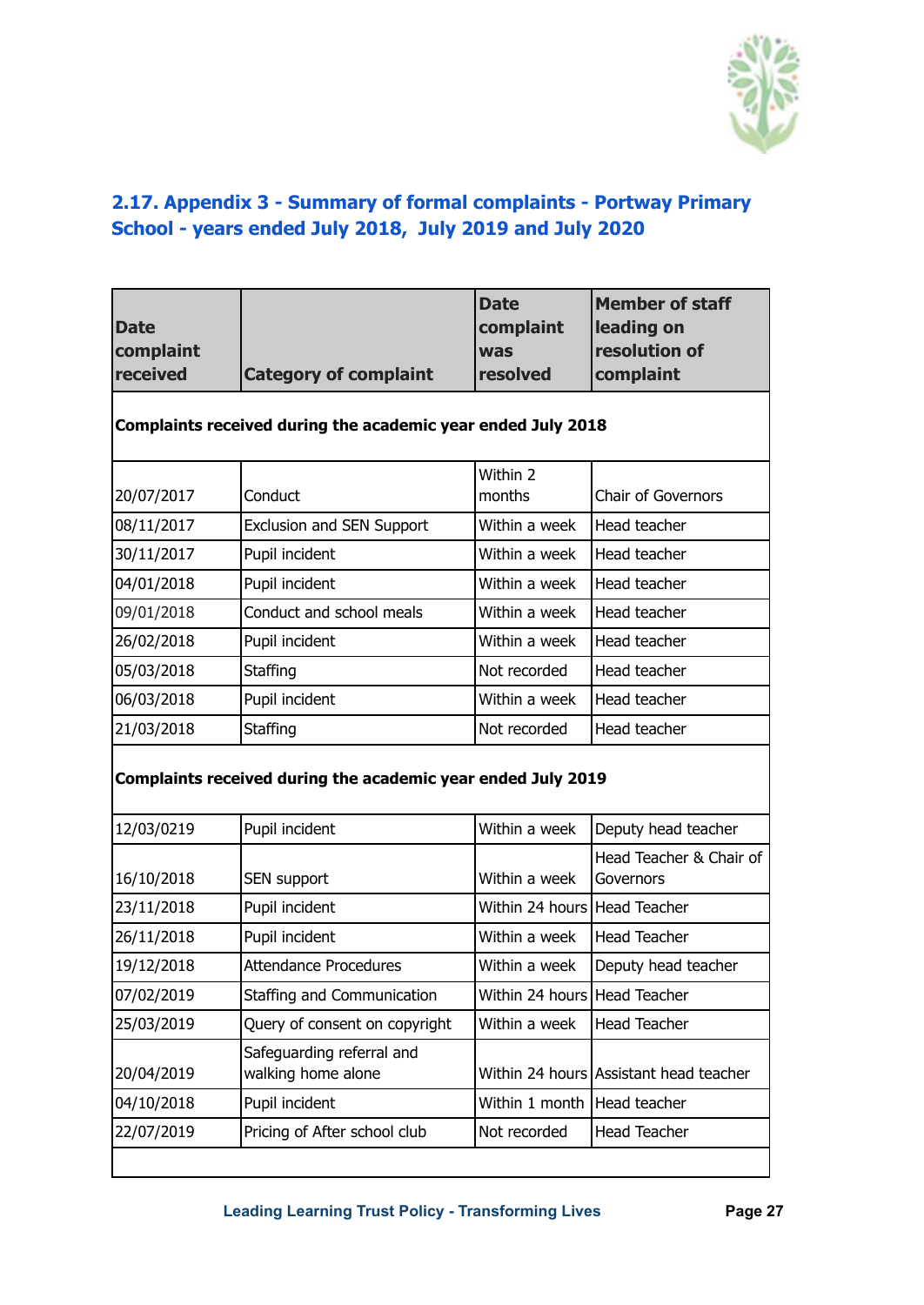

### <span id="page-26-0"></span>**2.17. Appendix 3 - Summary of formal complaints - Portway Primary School - years ended July 2018, July 2019 and July 2020**

| <b>Date</b><br>complaint |                                                              | <b>Date</b><br>complaint<br><b>was</b> | <b>Member of staff</b><br>leading on<br>resolution of |
|--------------------------|--------------------------------------------------------------|----------------------------------------|-------------------------------------------------------|
| received                 | <b>Category of complaint</b>                                 | resolved                               | complaint                                             |
|                          | Complaints received during the academic year ended July 2018 |                                        |                                                       |
| 20/07/2017               | Conduct                                                      | Within 2<br>months                     | Chair of Governors                                    |
| 08/11/2017               | Exclusion and SEN Support                                    | Within a week                          | Head teacher                                          |
| 30/11/2017               | Pupil incident                                               | Within a week                          | Head teacher                                          |
| 04/01/2018               | Pupil incident                                               | Within a week                          | Head teacher                                          |
| 09/01/2018               | Conduct and school meals                                     | Within a week                          | Head teacher                                          |
| 26/02/2018               | Pupil incident                                               | Within a week                          | Head teacher                                          |
| 05/03/2018               | Staffing                                                     | Not recorded                           | Head teacher                                          |
| 06/03/2018               | Pupil incident                                               | Within a week                          | Head teacher                                          |
| 21/03/2018               | Staffing                                                     | Not recorded                           | Head teacher                                          |
|                          | Complaints received during the academic year ended July 2019 |                                        |                                                       |
| 12/03/0219               | Pupil incident                                               | Within a week                          | Deputy head teacher                                   |
| 16/10/2018               | SEN support                                                  | Within a week                          | Head Teacher & Chair of<br>Governors                  |
| 23/11/2018               | Pupil incident                                               | Within 24 hours Head Teacher           |                                                       |
| 26/11/2018               | Pupil incident                                               | Within a week                          | <b>Head Teacher</b>                                   |
| 19/12/2018               | <b>Attendance Procedures</b>                                 | Within a week                          | Deputy head teacher                                   |
| 07/02/2019               | Staffing and Communication                                   | Within 24 hours Head Teacher           |                                                       |
| 25/03/2019               | Query of consent on copyright                                | Within a week                          | <b>Head Teacher</b>                                   |
| 20/04/2019               | Safeguarding referral and<br>walking home alone              |                                        | Within 24 hours Assistant head teacher                |
| 04/10/2018               | Pupil incident                                               | Within 1 month Head teacher            |                                                       |
| 22/07/2019               | Pricing of After school club                                 | Not recorded                           | <b>Head Teacher</b>                                   |